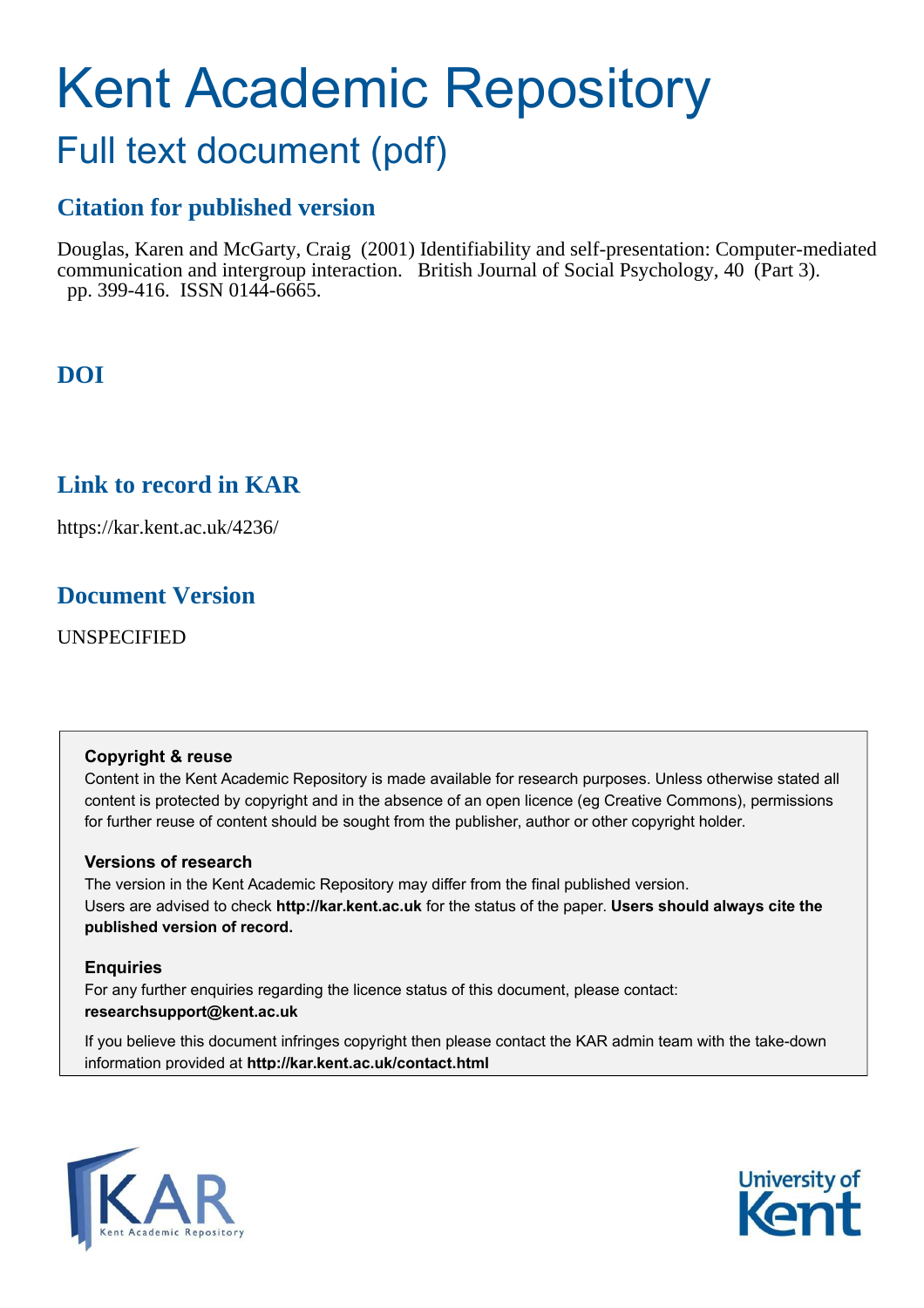# Kent Academic Repository

## Full text document (pdf)

## **Citation for published version**

Douglas, Karen and McGarty, Craig (2001) Identifiability and self-presentation: Computer-mediated communication and intergroup interaction. British Journal of Social Psychology, 40 (Part 3). pp. 399-416. ISSN 0144-6665.

## **DOI**

## **Link to record in KAR**

https://kar.kent.ac.uk/4236/

## **Document Version**

UNSPECIFIED

#### **Copyright & reuse**

Content in the Kent Academic Repository is made available for research purposes. Unless otherwise stated all content is protected by copyright and in the absence of an open licence (eg Creative Commons), permissions for further reuse of content should be sought from the publisher, author or other copyright holder.

#### **Versions of research**

The version in the Kent Academic Repository may differ from the final published version. Users are advised to check **http://kar.kent.ac.uk** for the status of the paper. **Users should always cite the published version of record.**

#### **Enquiries**

For any further enquiries regarding the licence status of this document, please contact: **researchsupport@kent.ac.uk**

If you believe this document infringes copyright then please contact the KAR admin team with the take-down information provided at **http://kar.kent.ac.uk/contact.html**



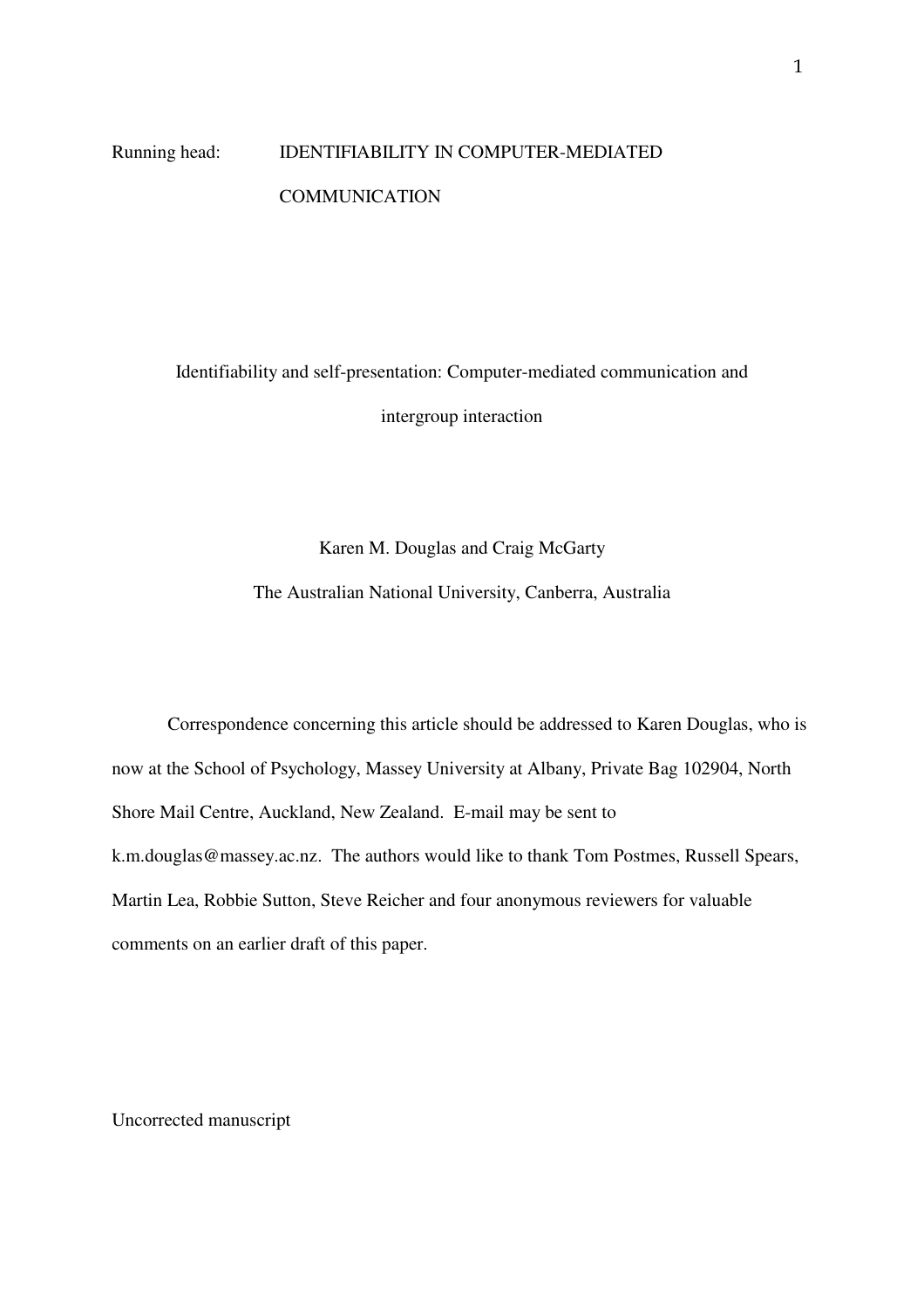## Running head: IDENTIFIABILITY IN COMPUTER-MEDIATED **COMMUNICATION**

Identifiability and self-presentation: Computer-mediated communication and intergroup interaction

#### Karen M. Douglas and Craig McGarty

The Australian National University, Canberra, Australia

 Correspondence concerning this article should be addressed to Karen Douglas, who is now at the School of Psychology, Massey University at Albany, Private Bag 102904, North Shore Mail Centre, Auckland, New Zealand. E-mail may be sent to k.m.douglas@massey.ac.nz. The authors would like to thank Tom Postmes, Russell Spears, Martin Lea, Robbie Sutton, Steve Reicher and four anonymous reviewers for valuable comments on an earlier draft of this paper.

Uncorrected manuscript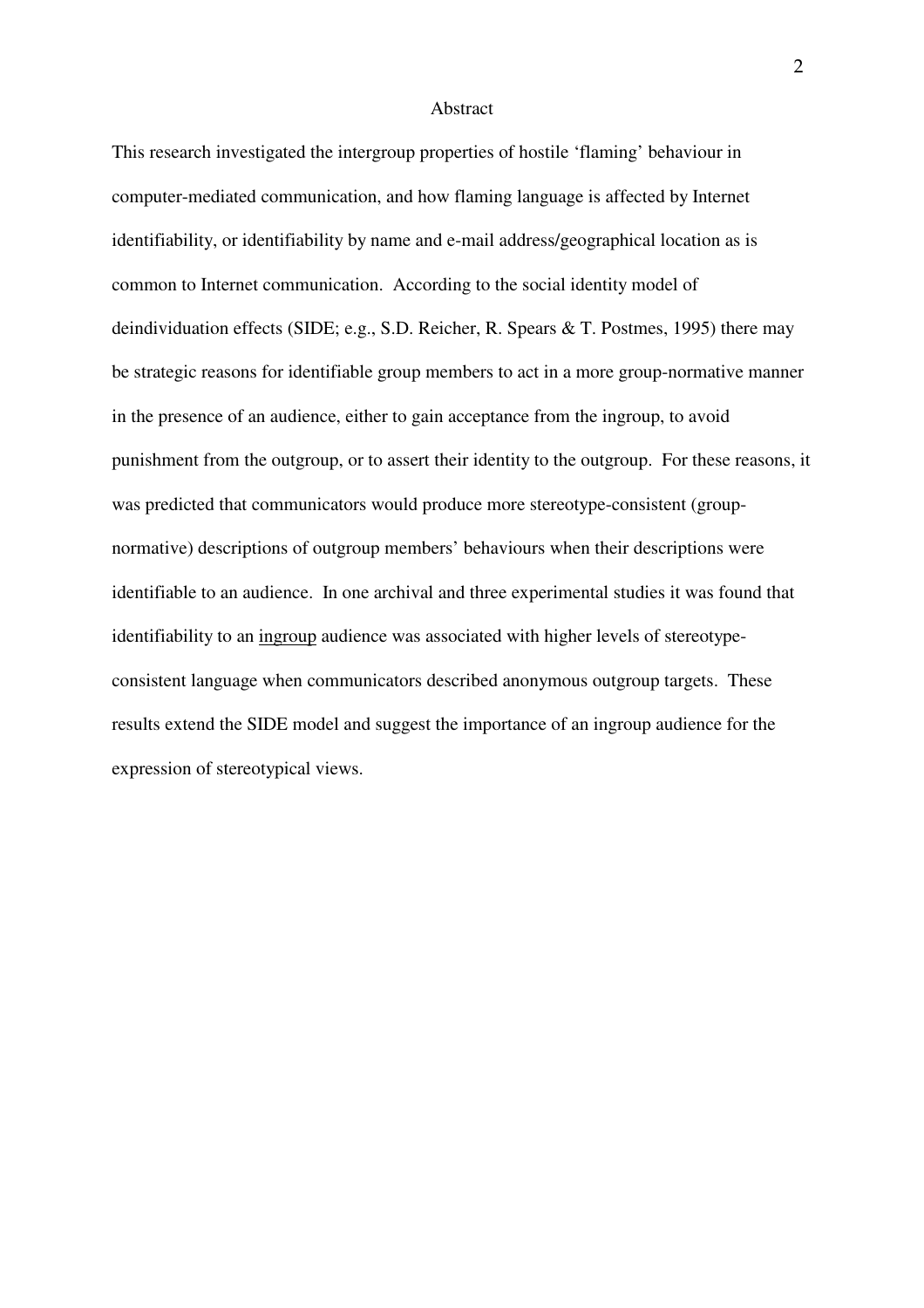#### Abstract

This research investigated the intergroup properties of hostile 'flaming' behaviour in computer-mediated communication, and how flaming language is affected by Internet identifiability, or identifiability by name and e-mail address/geographical location as is common to Internet communication. According to the social identity model of deindividuation effects (SIDE; e.g., S.D. Reicher, R. Spears & T. Postmes, 1995) there may be strategic reasons for identifiable group members to act in a more group-normative manner in the presence of an audience, either to gain acceptance from the ingroup, to avoid punishment from the outgroup, or to assert their identity to the outgroup. For these reasons, it was predicted that communicators would produce more stereotype-consistent (groupnormative) descriptions of outgroup members' behaviours when their descriptions were identifiable to an audience. In one archival and three experimental studies it was found that identifiability to an ingroup audience was associated with higher levels of stereotypeconsistent language when communicators described anonymous outgroup targets. These results extend the SIDE model and suggest the importance of an ingroup audience for the expression of stereotypical views.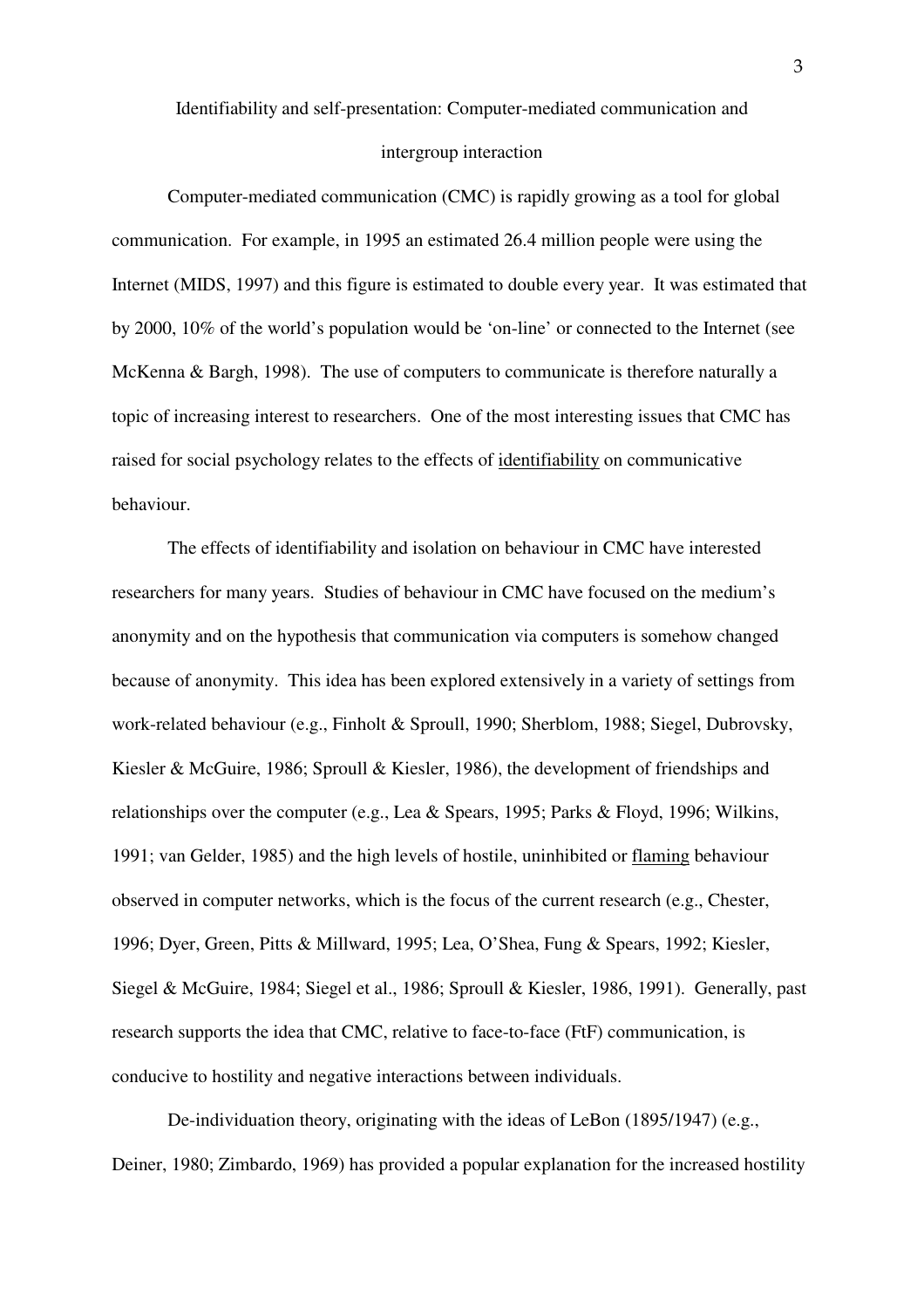Identifiability and self-presentation: Computer-mediated communication and

#### intergroup interaction

 Computer-mediated communication (CMC) is rapidly growing as a tool for global communication. For example, in 1995 an estimated 26.4 million people were using the Internet (MIDS, 1997) and this figure is estimated to double every year. It was estimated that by 2000, 10% of the world's population would be 'on-line' or connected to the Internet (see McKenna & Bargh, 1998). The use of computers to communicate is therefore naturally a topic of increasing interest to researchers. One of the most interesting issues that CMC has raised for social psychology relates to the effects of identifiability on communicative behaviour.

 The effects of identifiability and isolation on behaviour in CMC have interested researchers for many years. Studies of behaviour in CMC have focused on the medium's anonymity and on the hypothesis that communication via computers is somehow changed because of anonymity. This idea has been explored extensively in a variety of settings from work-related behaviour (e.g., Finholt & Sproull, 1990; Sherblom, 1988; Siegel, Dubrovsky, Kiesler & McGuire, 1986; Sproull & Kiesler, 1986), the development of friendships and relationships over the computer (e.g., Lea & Spears, 1995; Parks & Floyd, 1996; Wilkins, 1991; van Gelder, 1985) and the high levels of hostile, uninhibited or flaming behaviour observed in computer networks, which is the focus of the current research (e.g., Chester, 1996; Dyer, Green, Pitts & Millward, 1995; Lea, O'Shea, Fung & Spears, 1992; Kiesler, Siegel & McGuire, 1984; Siegel et al., 1986; Sproull & Kiesler, 1986, 1991). Generally, past research supports the idea that CMC, relative to face-to-face (FtF) communication, is conducive to hostility and negative interactions between individuals.

 De-individuation theory, originating with the ideas of LeBon (1895/1947) (e.g., Deiner, 1980; Zimbardo, 1969) has provided a popular explanation for the increased hostility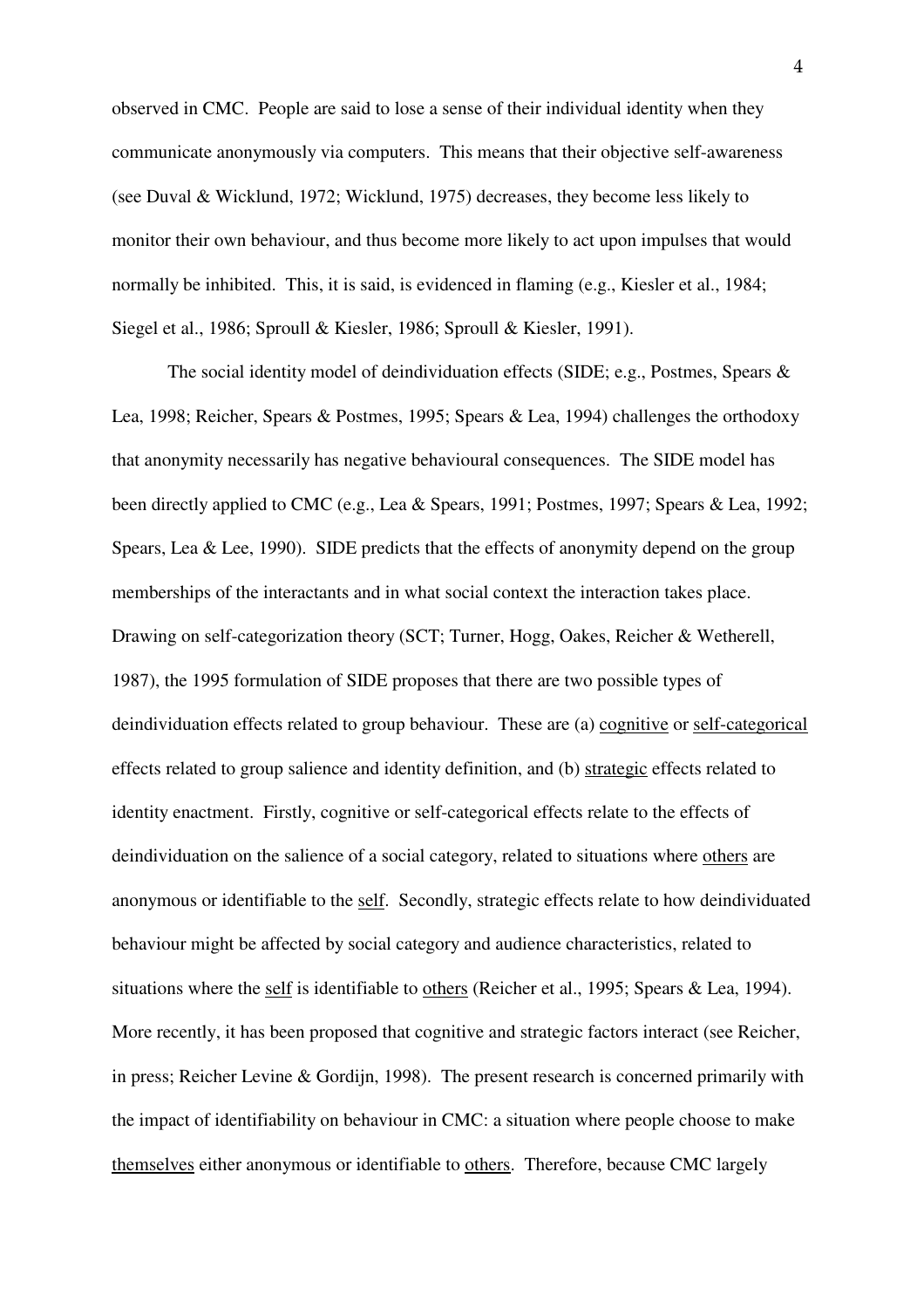observed in CMC. People are said to lose a sense of their individual identity when they communicate anonymously via computers. This means that their objective self-awareness (see Duval & Wicklund, 1972; Wicklund, 1975) decreases, they become less likely to monitor their own behaviour, and thus become more likely to act upon impulses that would normally be inhibited. This, it is said, is evidenced in flaming (e.g., Kiesler et al., 1984; Siegel et al., 1986; Sproull & Kiesler, 1986; Sproull & Kiesler, 1991).

 The social identity model of deindividuation effects (SIDE; e.g., Postmes, Spears & Lea, 1998; Reicher, Spears & Postmes, 1995; Spears & Lea, 1994) challenges the orthodoxy that anonymity necessarily has negative behavioural consequences. The SIDE model has been directly applied to CMC (e.g., Lea & Spears, 1991; Postmes, 1997; Spears & Lea, 1992; Spears, Lea & Lee, 1990). SIDE predicts that the effects of anonymity depend on the group memberships of the interactants and in what social context the interaction takes place. Drawing on self-categorization theory (SCT; Turner, Hogg, Oakes, Reicher & Wetherell, 1987), the 1995 formulation of SIDE proposes that there are two possible types of deindividuation effects related to group behaviour. These are (a) cognitive or self-categorical effects related to group salience and identity definition, and (b) strategic effects related to identity enactment. Firstly, cognitive or self-categorical effects relate to the effects of deindividuation on the salience of a social category, related to situations where others are anonymous or identifiable to the self. Secondly, strategic effects relate to how deindividuated behaviour might be affected by social category and audience characteristics, related to situations where the self is identifiable to others (Reicher et al., 1995; Spears & Lea, 1994). More recently, it has been proposed that cognitive and strategic factors interact (see Reicher, in press; Reicher Levine & Gordijn, 1998). The present research is concerned primarily with the impact of identifiability on behaviour in CMC: a situation where people choose to make themselves either anonymous or identifiable to others. Therefore, because CMC largely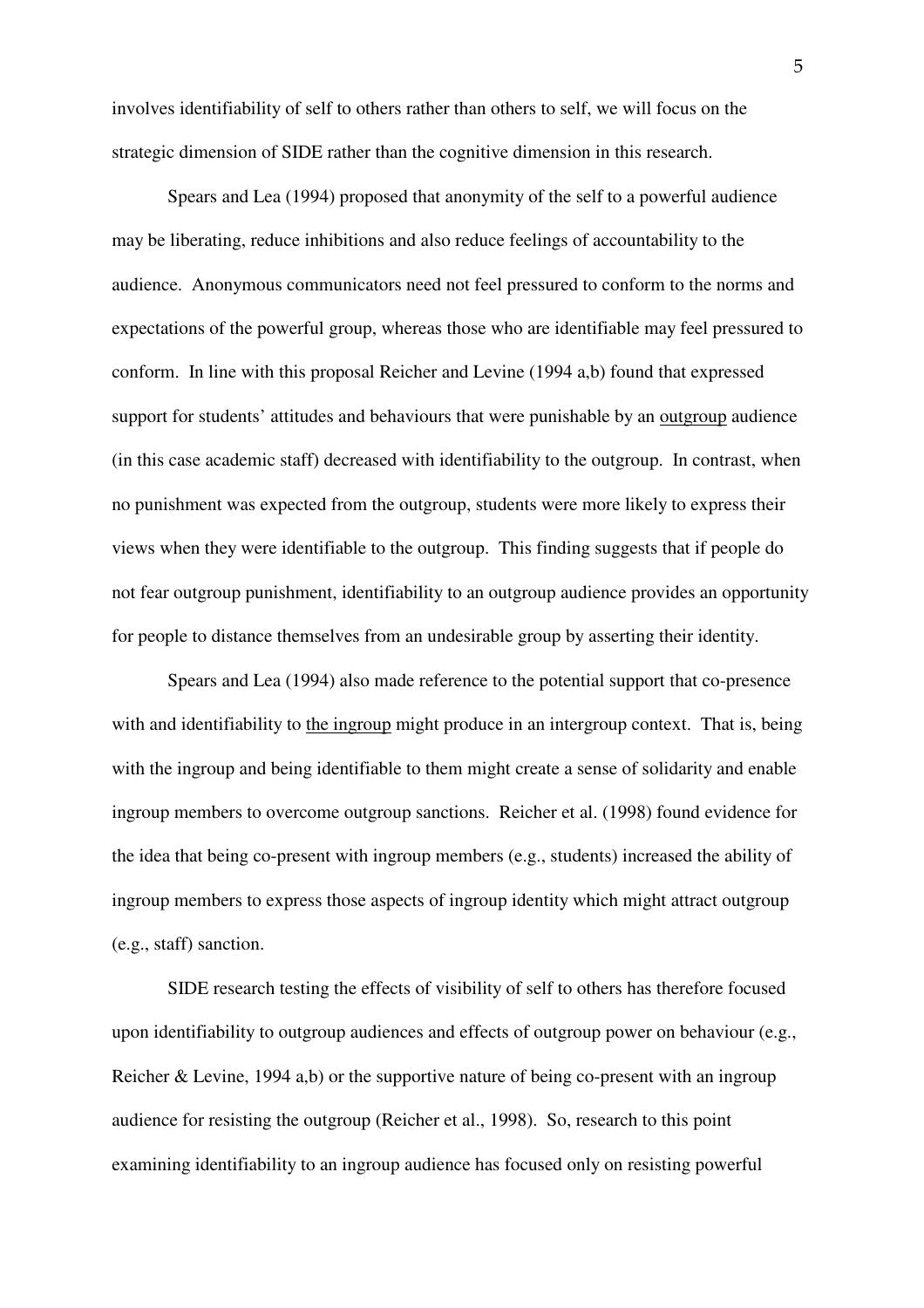involves identifiability of self to others rather than others to self, we will focus on the strategic dimension of SIDE rather than the cognitive dimension in this research.

Spears and Lea (1994) proposed that anonymity of the self to a powerful audience may be liberating, reduce inhibitions and also reduce feelings of accountability to the audience. Anonymous communicators need not feel pressured to conform to the norms and expectations of the powerful group, whereas those who are identifiable may feel pressured to conform. In line with this proposal Reicher and Levine (1994 a,b) found that expressed support for students' attitudes and behaviours that were punishable by an outgroup audience (in this case academic staff) decreased with identifiability to the outgroup. In contrast, when no punishment was expected from the outgroup, students were more likely to express their views when they were identifiable to the outgroup. This finding suggests that if people do not fear outgroup punishment, identifiability to an outgroup audience provides an opportunity for people to distance themselves from an undesirable group by asserting their identity.

Spears and Lea (1994) also made reference to the potential support that co-presence with and identifiability to the ingroup might produce in an intergroup context. That is, being with the ingroup and being identifiable to them might create a sense of solidarity and enable ingroup members to overcome outgroup sanctions. Reicher et al. (1998) found evidence for the idea that being co-present with ingroup members (e.g., students) increased the ability of ingroup members to express those aspects of ingroup identity which might attract outgroup (e.g., staff) sanction.

 SIDE research testing the effects of visibility of self to others has therefore focused upon identifiability to outgroup audiences and effects of outgroup power on behaviour (e.g., Reicher & Levine, 1994 a,b) or the supportive nature of being co-present with an ingroup audience for resisting the outgroup (Reicher et al., 1998). So, research to this point examining identifiability to an ingroup audience has focused only on resisting powerful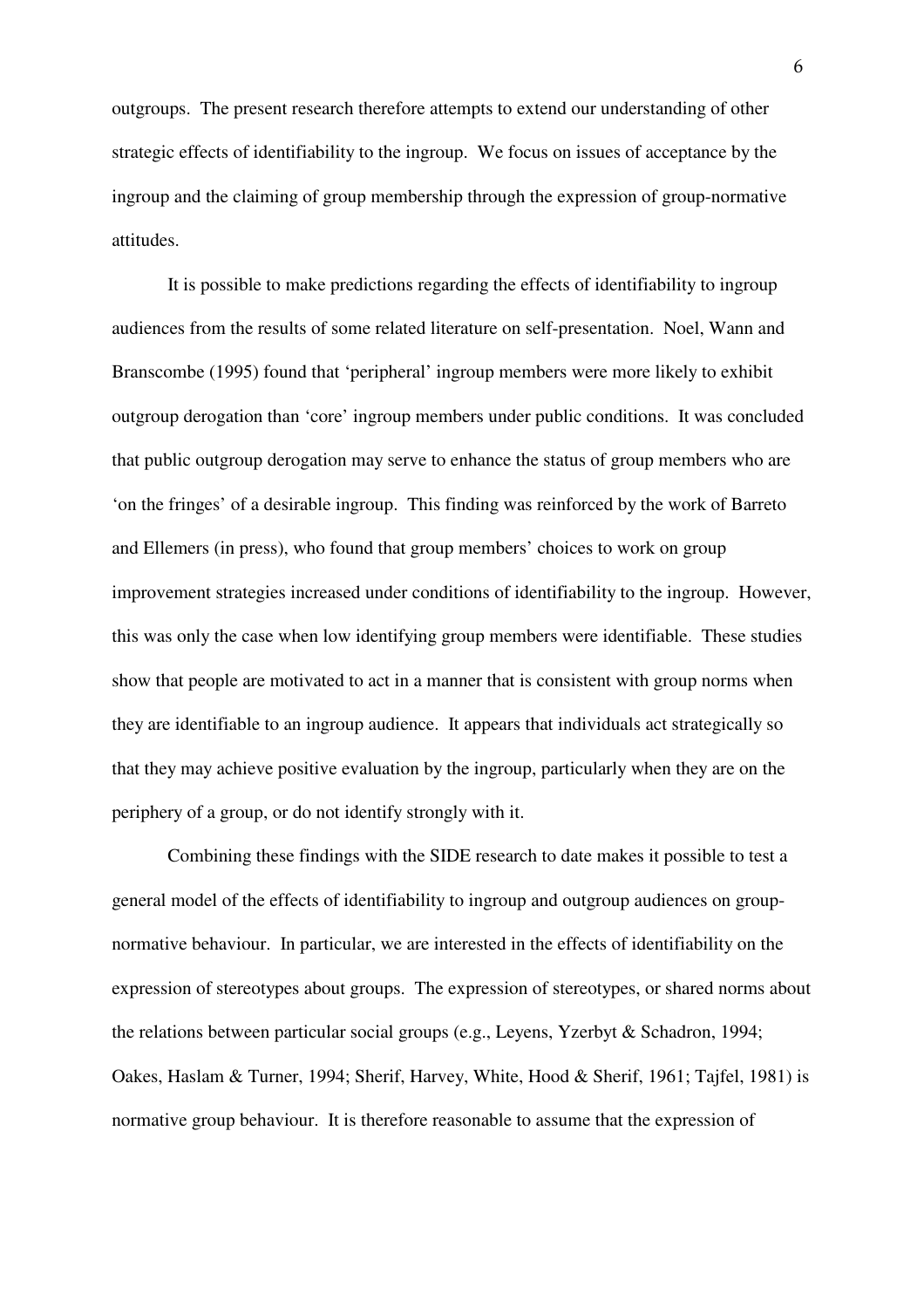outgroups. The present research therefore attempts to extend our understanding of other strategic effects of identifiability to the ingroup. We focus on issues of acceptance by the ingroup and the claiming of group membership through the expression of group-normative attitudes.

It is possible to make predictions regarding the effects of identifiability to ingroup audiences from the results of some related literature on self-presentation. Noel, Wann and Branscombe (1995) found that 'peripheral' ingroup members were more likely to exhibit outgroup derogation than 'core' ingroup members under public conditions. It was concluded that public outgroup derogation may serve to enhance the status of group members who are 'on the fringes' of a desirable ingroup. This finding was reinforced by the work of Barreto and Ellemers (in press), who found that group members' choices to work on group improvement strategies increased under conditions of identifiability to the ingroup. However, this was only the case when low identifying group members were identifiable. These studies show that people are motivated to act in a manner that is consistent with group norms when they are identifiable to an ingroup audience. It appears that individuals act strategically so that they may achieve positive evaluation by the ingroup, particularly when they are on the periphery of a group, or do not identify strongly with it.

Combining these findings with the SIDE research to date makes it possible to test a general model of the effects of identifiability to ingroup and outgroup audiences on groupnormative behaviour. In particular, we are interested in the effects of identifiability on the expression of stereotypes about groups. The expression of stereotypes, or shared norms about the relations between particular social groups (e.g., Leyens, Yzerbyt & Schadron, 1994; Oakes, Haslam & Turner, 1994; Sherif, Harvey, White, Hood & Sherif, 1961; Tajfel, 1981) is normative group behaviour. It is therefore reasonable to assume that the expression of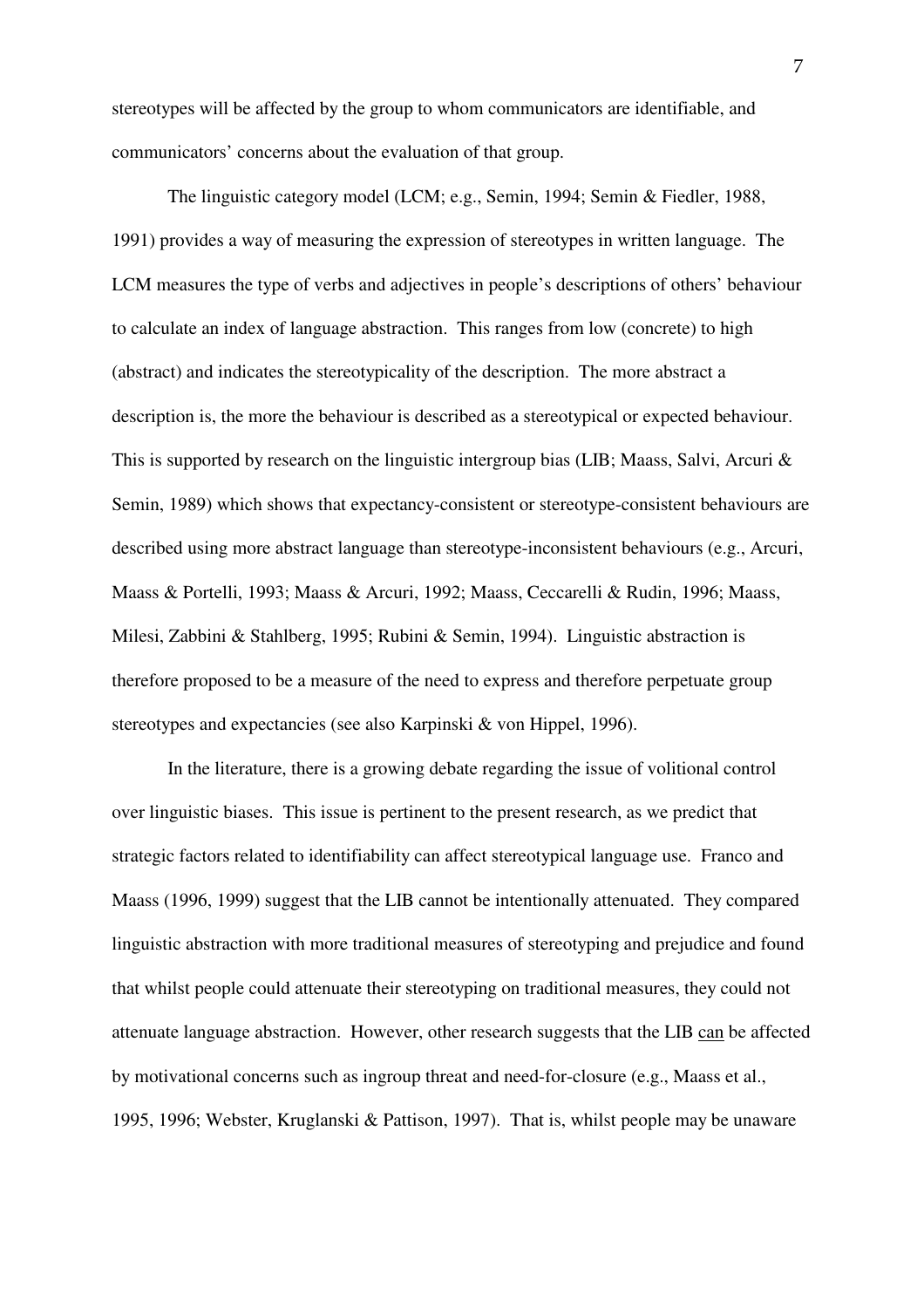stereotypes will be affected by the group to whom communicators are identifiable, and communicators' concerns about the evaluation of that group.

 The linguistic category model (LCM; e.g., Semin, 1994; Semin & Fiedler, 1988, 1991) provides a way of measuring the expression of stereotypes in written language. The LCM measures the type of verbs and adjectives in people's descriptions of others' behaviour to calculate an index of language abstraction. This ranges from low (concrete) to high (abstract) and indicates the stereotypicality of the description. The more abstract a description is, the more the behaviour is described as a stereotypical or expected behaviour. This is supported by research on the linguistic intergroup bias (LIB; Maass, Salvi, Arcuri & Semin, 1989) which shows that expectancy-consistent or stereotype-consistent behaviours are described using more abstract language than stereotype-inconsistent behaviours (e.g., Arcuri, Maass & Portelli, 1993; Maass & Arcuri, 1992; Maass, Ceccarelli & Rudin, 1996; Maass, Milesi, Zabbini & Stahlberg, 1995; Rubini & Semin, 1994). Linguistic abstraction is therefore proposed to be a measure of the need to express and therefore perpetuate group stereotypes and expectancies (see also Karpinski & von Hippel, 1996).

In the literature, there is a growing debate regarding the issue of volitional control over linguistic biases. This issue is pertinent to the present research, as we predict that strategic factors related to identifiability can affect stereotypical language use. Franco and Maass (1996, 1999) suggest that the LIB cannot be intentionally attenuated. They compared linguistic abstraction with more traditional measures of stereotyping and prejudice and found that whilst people could attenuate their stereotyping on traditional measures, they could not attenuate language abstraction. However, other research suggests that the LIB can be affected by motivational concerns such as ingroup threat and need-for-closure (e.g., Maass et al., 1995, 1996; Webster, Kruglanski & Pattison, 1997). That is, whilst people may be unaware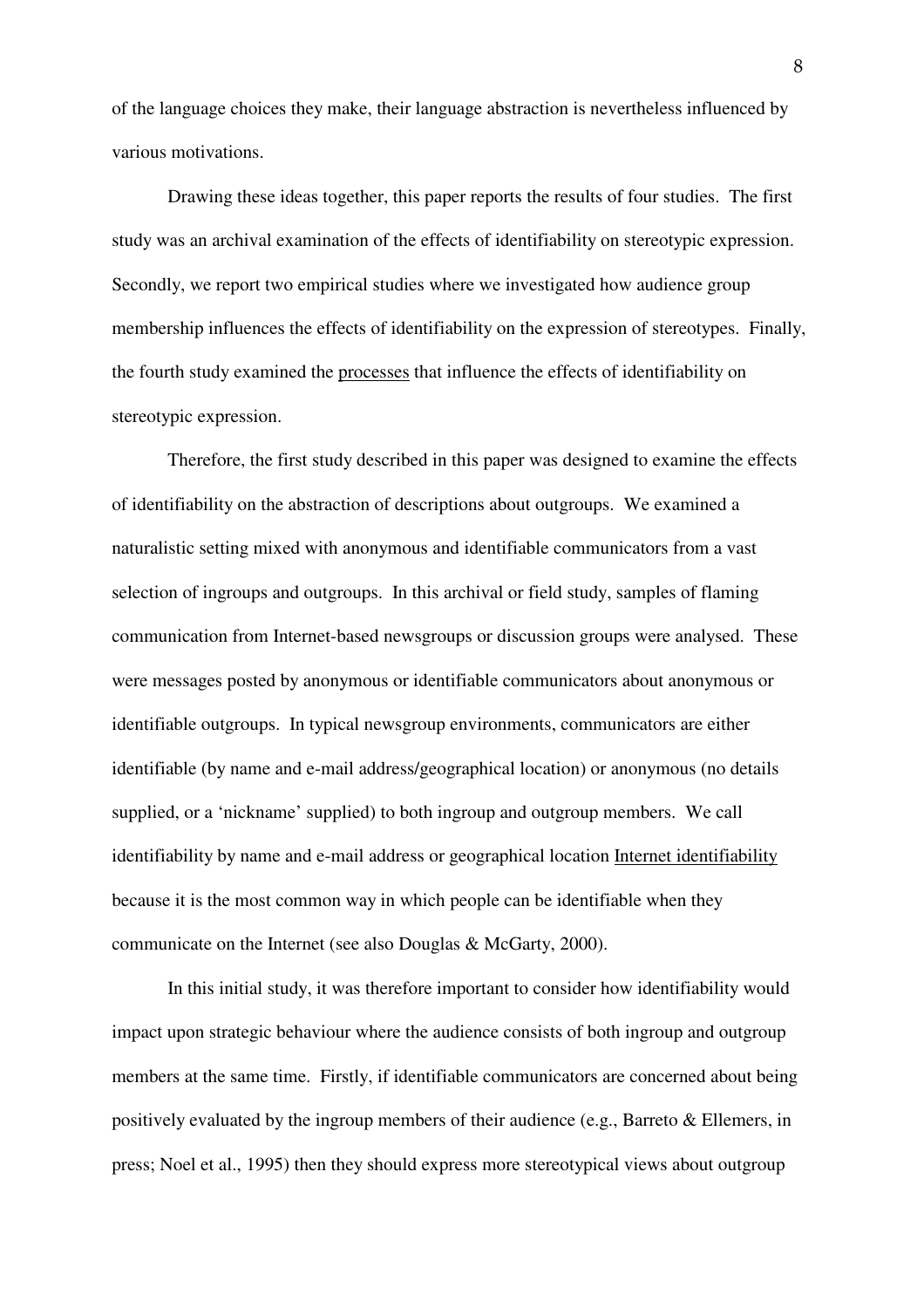of the language choices they make, their language abstraction is nevertheless influenced by various motivations.

Drawing these ideas together, this paper reports the results of four studies. The first study was an archival examination of the effects of identifiability on stereotypic expression. Secondly, we report two empirical studies where we investigated how audience group membership influences the effects of identifiability on the expression of stereotypes. Finally, the fourth study examined the processes that influence the effects of identifiability on stereotypic expression.

Therefore, the first study described in this paper was designed to examine the effects of identifiability on the abstraction of descriptions about outgroups. We examined a naturalistic setting mixed with anonymous and identifiable communicators from a vast selection of ingroups and outgroups. In this archival or field study, samples of flaming communication from Internet-based newsgroups or discussion groups were analysed. These were messages posted by anonymous or identifiable communicators about anonymous or identifiable outgroups. In typical newsgroup environments, communicators are either identifiable (by name and e-mail address/geographical location) or anonymous (no details supplied, or a 'nickname' supplied) to both ingroup and outgroup members. We call identifiability by name and e-mail address or geographical location Internet identifiability because it is the most common way in which people can be identifiable when they communicate on the Internet (see also Douglas & McGarty, 2000).

 In this initial study, it was therefore important to consider how identifiability would impact upon strategic behaviour where the audience consists of both ingroup and outgroup members at the same time. Firstly, if identifiable communicators are concerned about being positively evaluated by the ingroup members of their audience (e.g., Barreto & Ellemers, in press; Noel et al., 1995) then they should express more stereotypical views about outgroup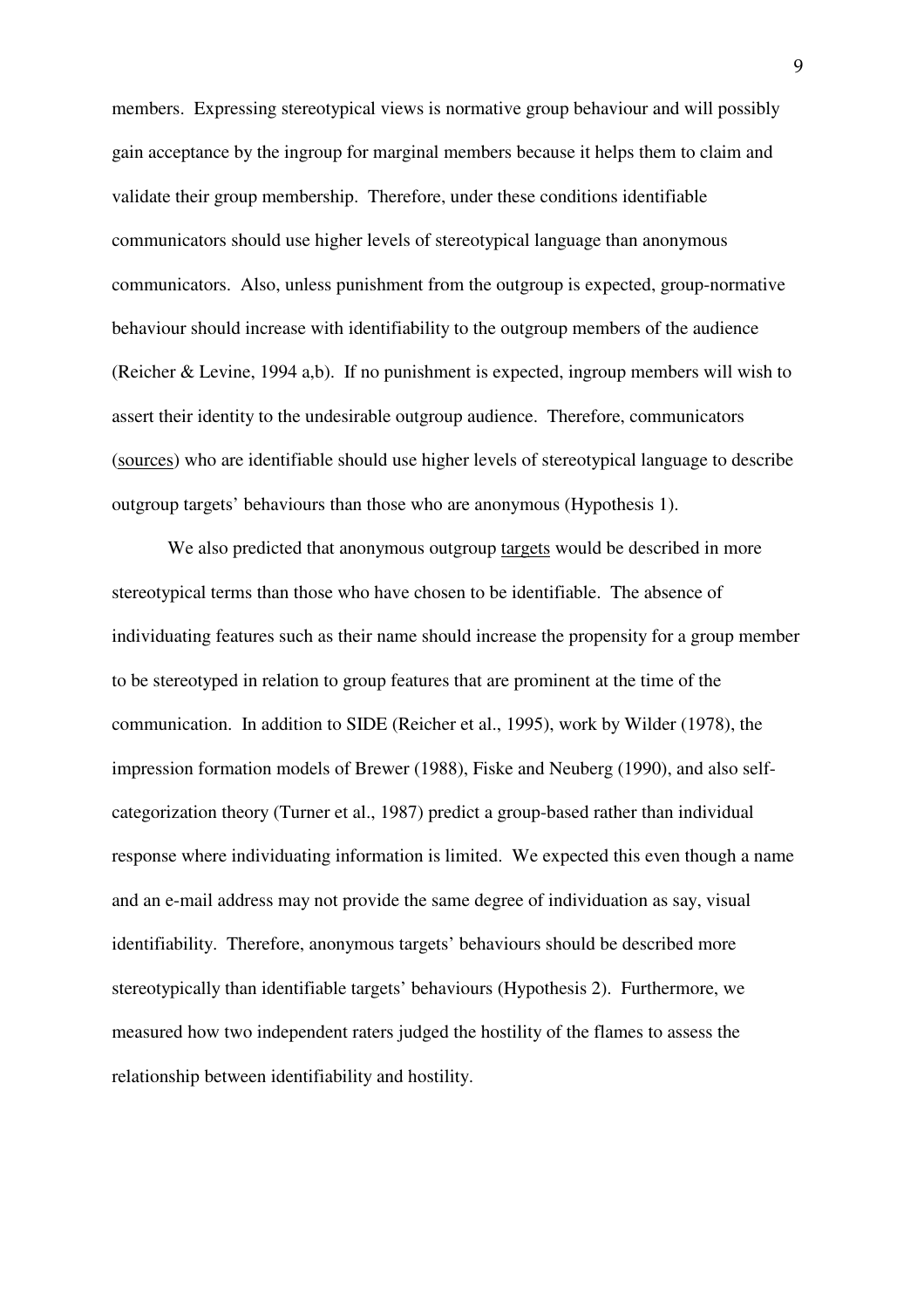members. Expressing stereotypical views is normative group behaviour and will possibly gain acceptance by the ingroup for marginal members because it helps them to claim and validate their group membership. Therefore, under these conditions identifiable communicators should use higher levels of stereotypical language than anonymous communicators. Also, unless punishment from the outgroup is expected, group-normative behaviour should increase with identifiability to the outgroup members of the audience (Reicher & Levine, 1994 a,b). If no punishment is expected, ingroup members will wish to assert their identity to the undesirable outgroup audience. Therefore, communicators (sources) who are identifiable should use higher levels of stereotypical language to describe outgroup targets' behaviours than those who are anonymous (Hypothesis 1).

 We also predicted that anonymous outgroup targets would be described in more stereotypical terms than those who have chosen to be identifiable. The absence of individuating features such as their name should increase the propensity for a group member to be stereotyped in relation to group features that are prominent at the time of the communication. In addition to SIDE (Reicher et al., 1995), work by Wilder (1978), the impression formation models of Brewer (1988), Fiske and Neuberg (1990), and also selfcategorization theory (Turner et al., 1987) predict a group-based rather than individual response where individuating information is limited. We expected this even though a name and an e-mail address may not provide the same degree of individuation as say, visual identifiability. Therefore, anonymous targets' behaviours should be described more stereotypically than identifiable targets' behaviours (Hypothesis 2). Furthermore, we measured how two independent raters judged the hostility of the flames to assess the relationship between identifiability and hostility.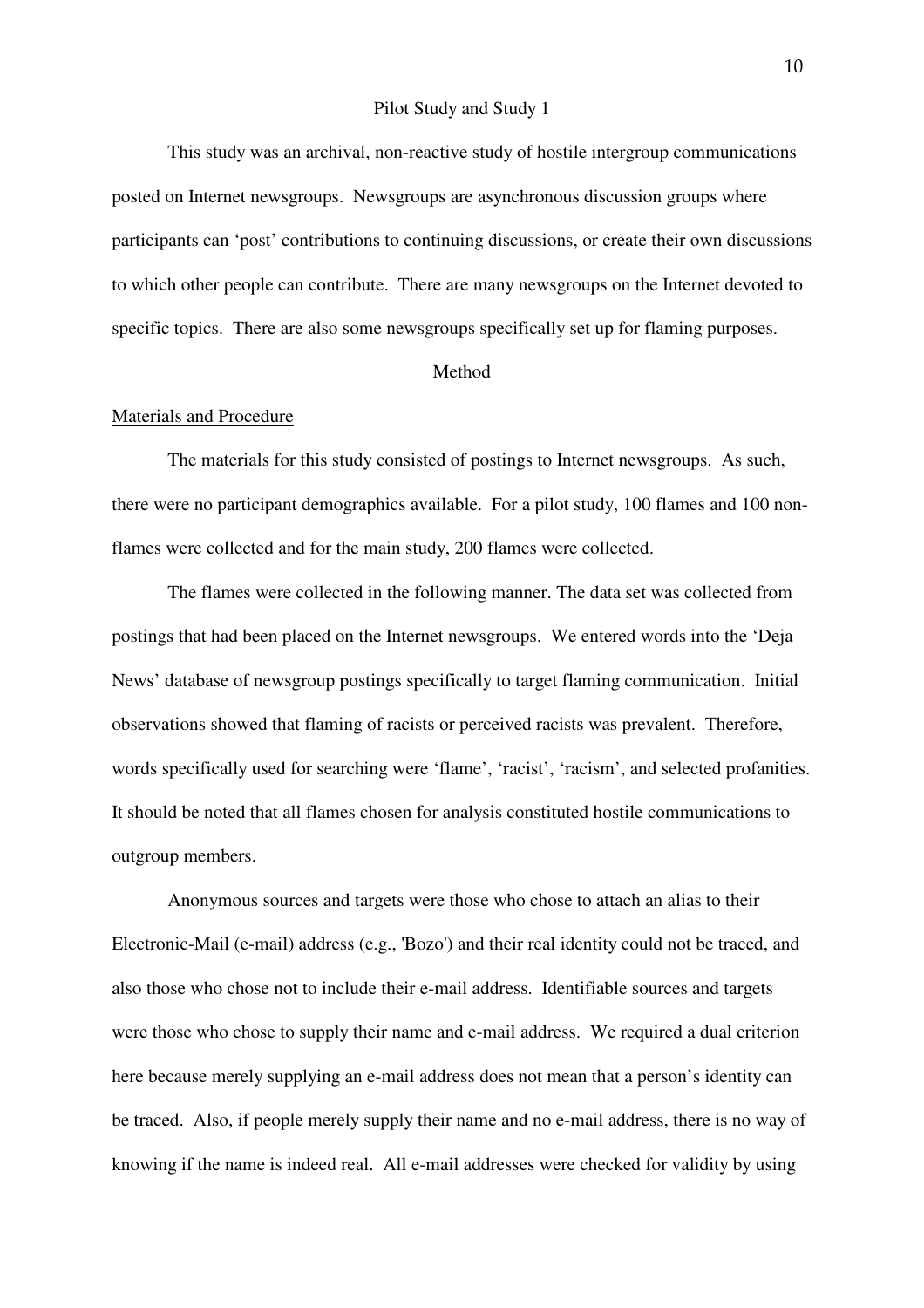#### Pilot Study and Study 1

 This study was an archival, non-reactive study of hostile intergroup communications posted on Internet newsgroups. Newsgroups are asynchronous discussion groups where participants can 'post' contributions to continuing discussions, or create their own discussions to which other people can contribute. There are many newsgroups on the Internet devoted to specific topics. There are also some newsgroups specifically set up for flaming purposes.

#### Method

#### Materials and Procedure

The materials for this study consisted of postings to Internet newsgroups. As such, there were no participant demographics available. For a pilot study, 100 flames and 100 nonflames were collected and for the main study, 200 flames were collected.

 The flames were collected in the following manner. The data set was collected from postings that had been placed on the Internet newsgroups. We entered words into the 'Deja News' database of newsgroup postings specifically to target flaming communication. Initial observations showed that flaming of racists or perceived racists was prevalent. Therefore, words specifically used for searching were 'flame', 'racist', 'racism', and selected profanities. It should be noted that all flames chosen for analysis constituted hostile communications to outgroup members.

Anonymous sources and targets were those who chose to attach an alias to their Electronic-Mail (e-mail) address (e.g., 'Bozo') and their real identity could not be traced, and also those who chose not to include their e-mail address. Identifiable sources and targets were those who chose to supply their name and e-mail address. We required a dual criterion here because merely supplying an e-mail address does not mean that a person's identity can be traced. Also, if people merely supply their name and no e-mail address, there is no way of knowing if the name is indeed real. All e-mail addresses were checked for validity by using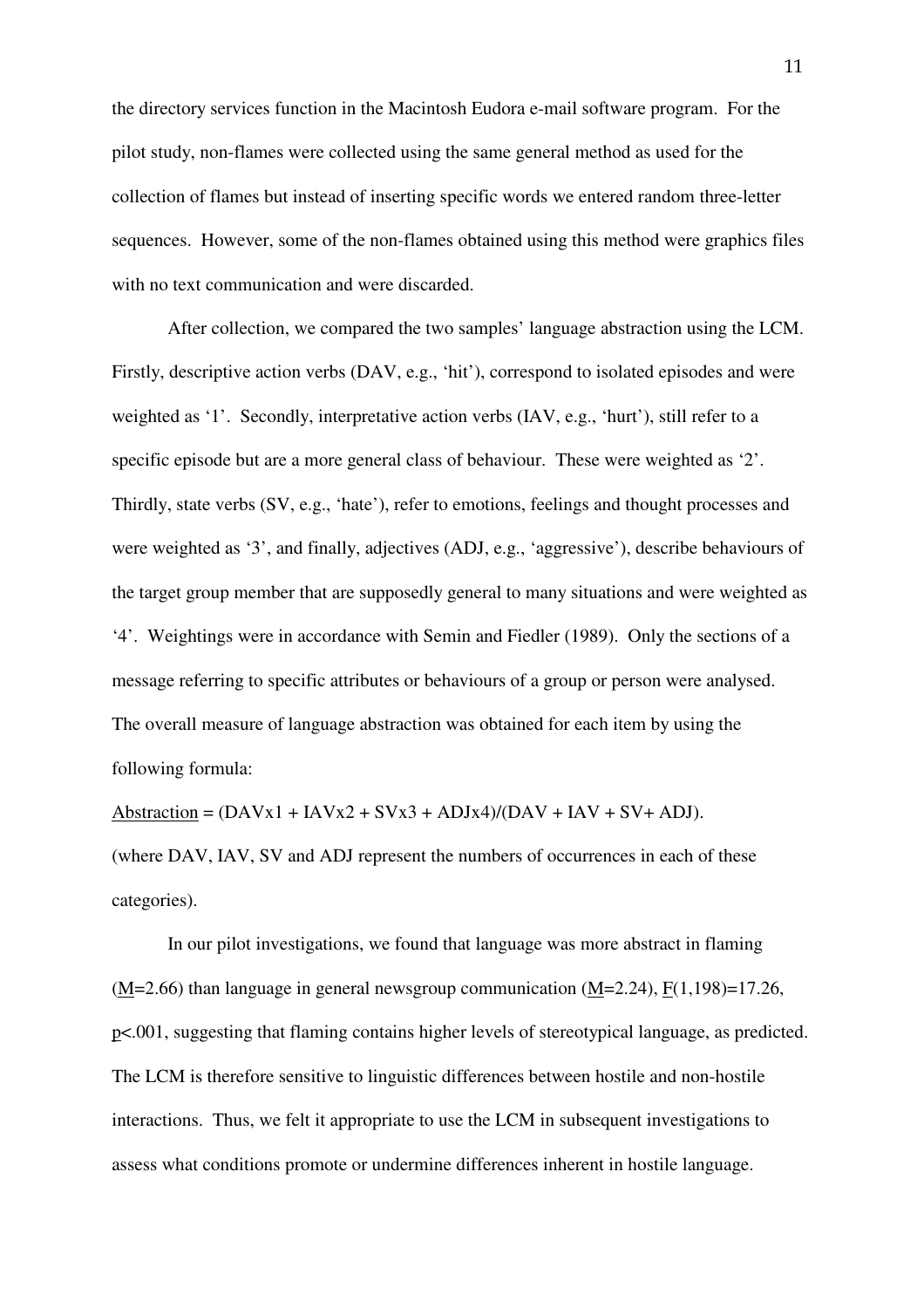the directory services function in the Macintosh Eudora e-mail software program. For the pilot study, non-flames were collected using the same general method as used for the collection of flames but instead of inserting specific words we entered random three-letter sequences. However, some of the non-flames obtained using this method were graphics files with no text communication and were discarded.

 After collection, we compared the two samples' language abstraction using the LCM. Firstly, descriptive action verbs (DAV, e.g., 'hit'), correspond to isolated episodes and were weighted as '1'. Secondly, interpretative action verbs (IAV, e.g., 'hurt'), still refer to a specific episode but are a more general class of behaviour. These were weighted as '2'. Thirdly, state verbs (SV, e.g., 'hate'), refer to emotions, feelings and thought processes and were weighted as '3', and finally, adjectives (ADJ, e.g., 'aggressive'), describe behaviours of the target group member that are supposedly general to many situations and were weighted as '4'. Weightings were in accordance with Semin and Fiedler (1989). Only the sections of a message referring to specific attributes or behaviours of a group or person were analysed. The overall measure of language abstraction was obtained for each item by using the following formula:

Abstraction =  $(DAVx1 + IAVx2 + SVx3 + ADJx4)/(DAV + IAV + SV + ADJ).$ (where DAV, IAV, SV and ADJ represent the numbers of occurrences in each of these categories).

 In our pilot investigations, we found that language was more abstract in flaming (M=2.66) than language in general newsgroup communication (M=2.24), F(1,198)=17.26, p<.001, suggesting that flaming contains higher levels of stereotypical language, as predicted. The LCM is therefore sensitive to linguistic differences between hostile and non-hostile interactions. Thus, we felt it appropriate to use the LCM in subsequent investigations to assess what conditions promote or undermine differences inherent in hostile language.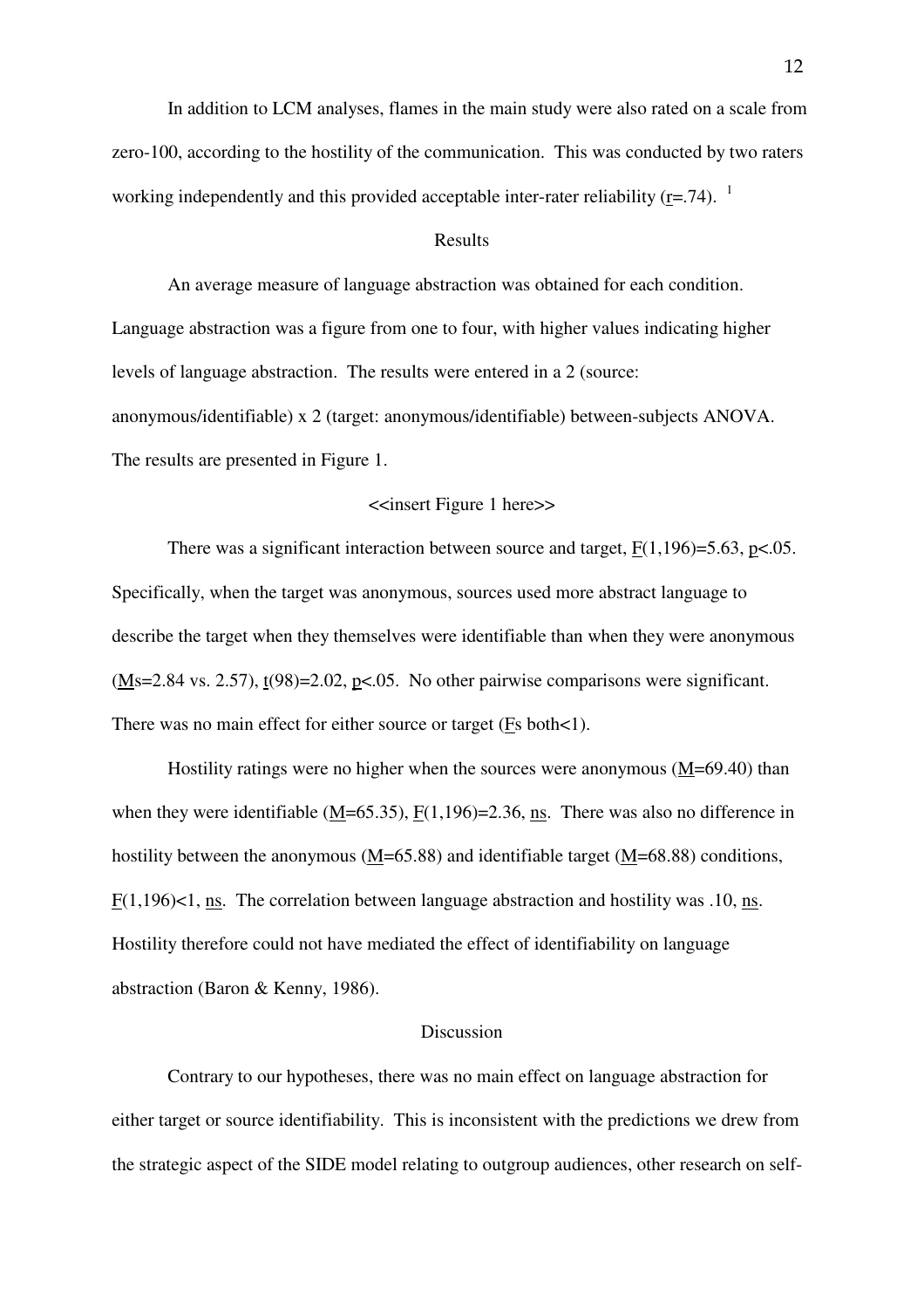In addition to LCM analyses, flames in the main study were also rated on a scale from zero-100, according to the hostility of the communication. This was conducted by two raters working independently and this provided acceptable inter-rater reliability ( $r = .74$ ). <sup>1</sup>

#### Results

 An average measure of language abstraction was obtained for each condition. Language abstraction was a figure from one to four, with higher values indicating higher levels of language abstraction. The results were entered in a 2 (source: anonymous/identifiable) x 2 (target: anonymous/identifiable) between-subjects ANOVA. The results are presented in Figure 1.

#### <<insert Figure 1 here>>

There was a significant interaction between source and target,  $F(1,196)=5.63$ ,  $p<.05$ . Specifically, when the target was anonymous, sources used more abstract language to describe the target when they themselves were identifiable than when they were anonymous  $(Ms=2.84 \text{ vs. } 2.57)$ , t(98)=2.02, p<.05. No other pairwise comparisons were significant. There was no main effect for either source or target (Fs both<1).

 Hostility ratings were no higher when the sources were anonymous (M=69.40) than when they were identifiable  $(M=65.35)$ ,  $F(1,196)=2.36$ , ns. There was also no difference in hostility between the anonymous ( $M=65.88$ ) and identifiable target ( $M=68.88$ ) conditions, F(1,196)<1, ns. The correlation between language abstraction and hostility was .10, ns. Hostility therefore could not have mediated the effect of identifiability on language abstraction (Baron & Kenny, 1986).

#### Discussion

 Contrary to our hypotheses, there was no main effect on language abstraction for either target or source identifiability. This is inconsistent with the predictions we drew from the strategic aspect of the SIDE model relating to outgroup audiences, other research on self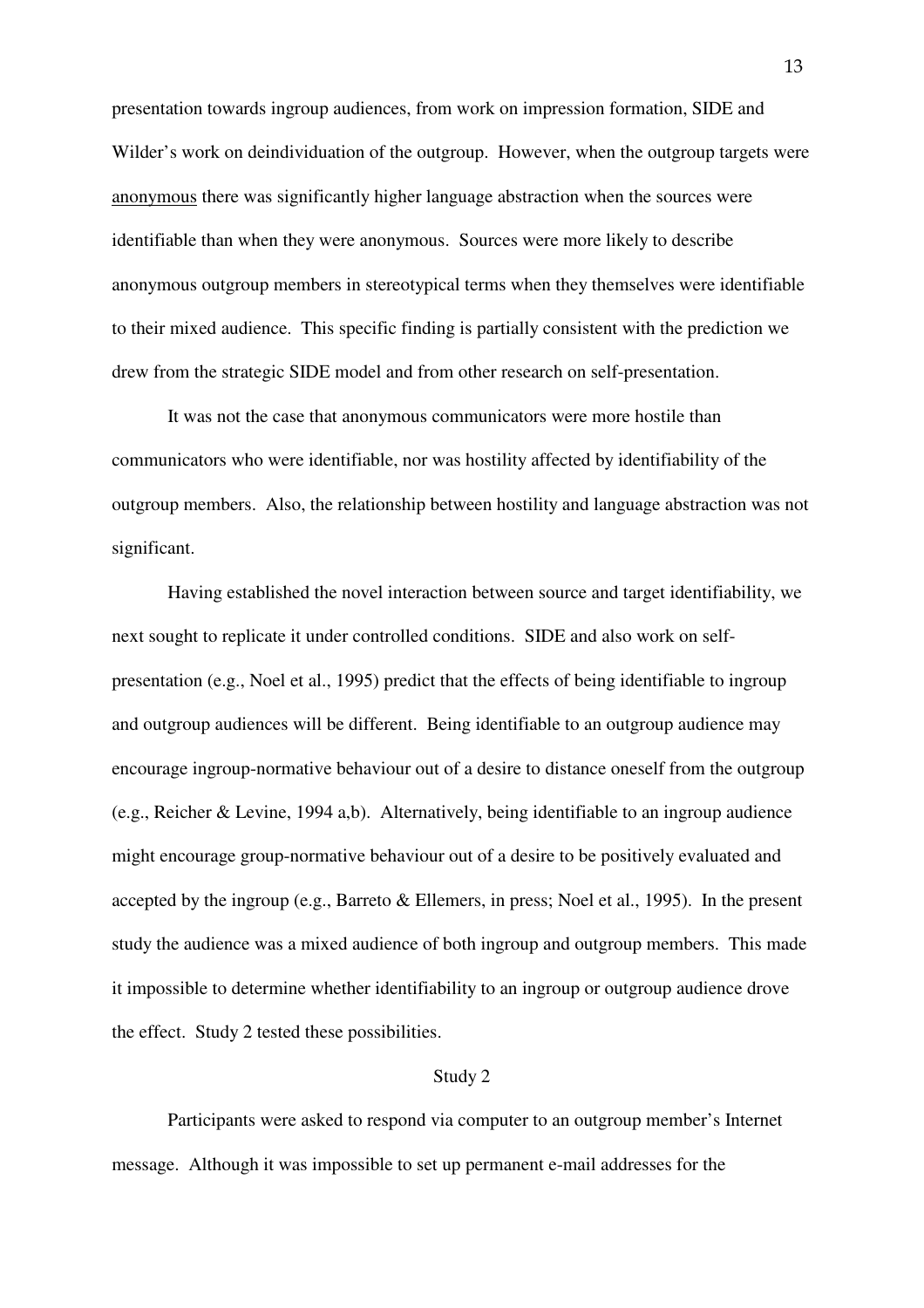presentation towards ingroup audiences, from work on impression formation, SIDE and Wilder's work on deindividuation of the outgroup. However, when the outgroup targets were anonymous there was significantly higher language abstraction when the sources were identifiable than when they were anonymous. Sources were more likely to describe anonymous outgroup members in stereotypical terms when they themselves were identifiable to their mixed audience. This specific finding is partially consistent with the prediction we drew from the strategic SIDE model and from other research on self-presentation.

 It was not the case that anonymous communicators were more hostile than communicators who were identifiable, nor was hostility affected by identifiability of the outgroup members. Also, the relationship between hostility and language abstraction was not significant.

 Having established the novel interaction between source and target identifiability, we next sought to replicate it under controlled conditions. SIDE and also work on selfpresentation (e.g., Noel et al., 1995) predict that the effects of being identifiable to ingroup and outgroup audiences will be different. Being identifiable to an outgroup audience may encourage ingroup-normative behaviour out of a desire to distance oneself from the outgroup (e.g., Reicher & Levine, 1994 a,b). Alternatively, being identifiable to an ingroup audience might encourage group-normative behaviour out of a desire to be positively evaluated and accepted by the ingroup (e.g., Barreto & Ellemers, in press; Noel et al., 1995). In the present study the audience was a mixed audience of both ingroup and outgroup members. This made it impossible to determine whether identifiability to an ingroup or outgroup audience drove the effect. Study 2 tested these possibilities.

#### Study 2

 Participants were asked to respond via computer to an outgroup member's Internet message. Although it was impossible to set up permanent e-mail addresses for the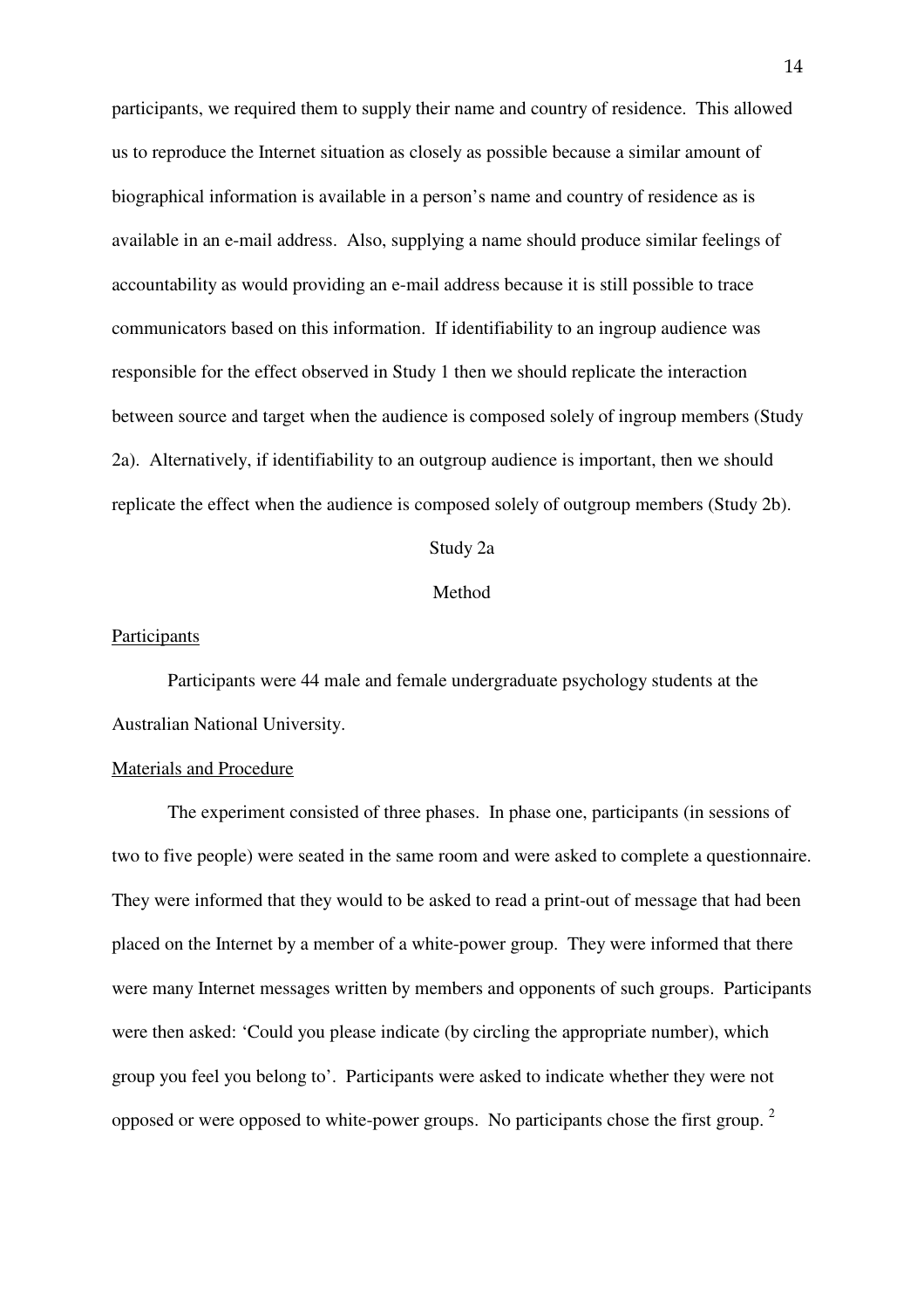participants, we required them to supply their name and country of residence. This allowed us to reproduce the Internet situation as closely as possible because a similar amount of biographical information is available in a person's name and country of residence as is available in an e-mail address. Also, supplying a name should produce similar feelings of accountability as would providing an e-mail address because it is still possible to trace communicators based on this information. If identifiability to an ingroup audience was responsible for the effect observed in Study 1 then we should replicate the interaction between source and target when the audience is composed solely of ingroup members (Study 2a). Alternatively, if identifiability to an outgroup audience is important, then we should replicate the effect when the audience is composed solely of outgroup members (Study 2b).

Study 2a

Method

#### **Participants**

 Participants were 44 male and female undergraduate psychology students at the Australian National University.

#### Materials and Procedure

The experiment consisted of three phases. In phase one, participants (in sessions of two to five people) were seated in the same room and were asked to complete a questionnaire. They were informed that they would to be asked to read a print-out of message that had been placed on the Internet by a member of a white-power group. They were informed that there were many Internet messages written by members and opponents of such groups. Participants were then asked: 'Could you please indicate (by circling the appropriate number), which group you feel you belong to'. Participants were asked to indicate whether they were not opposed or were opposed to white-power groups. No participants chose the first group.<sup>2</sup>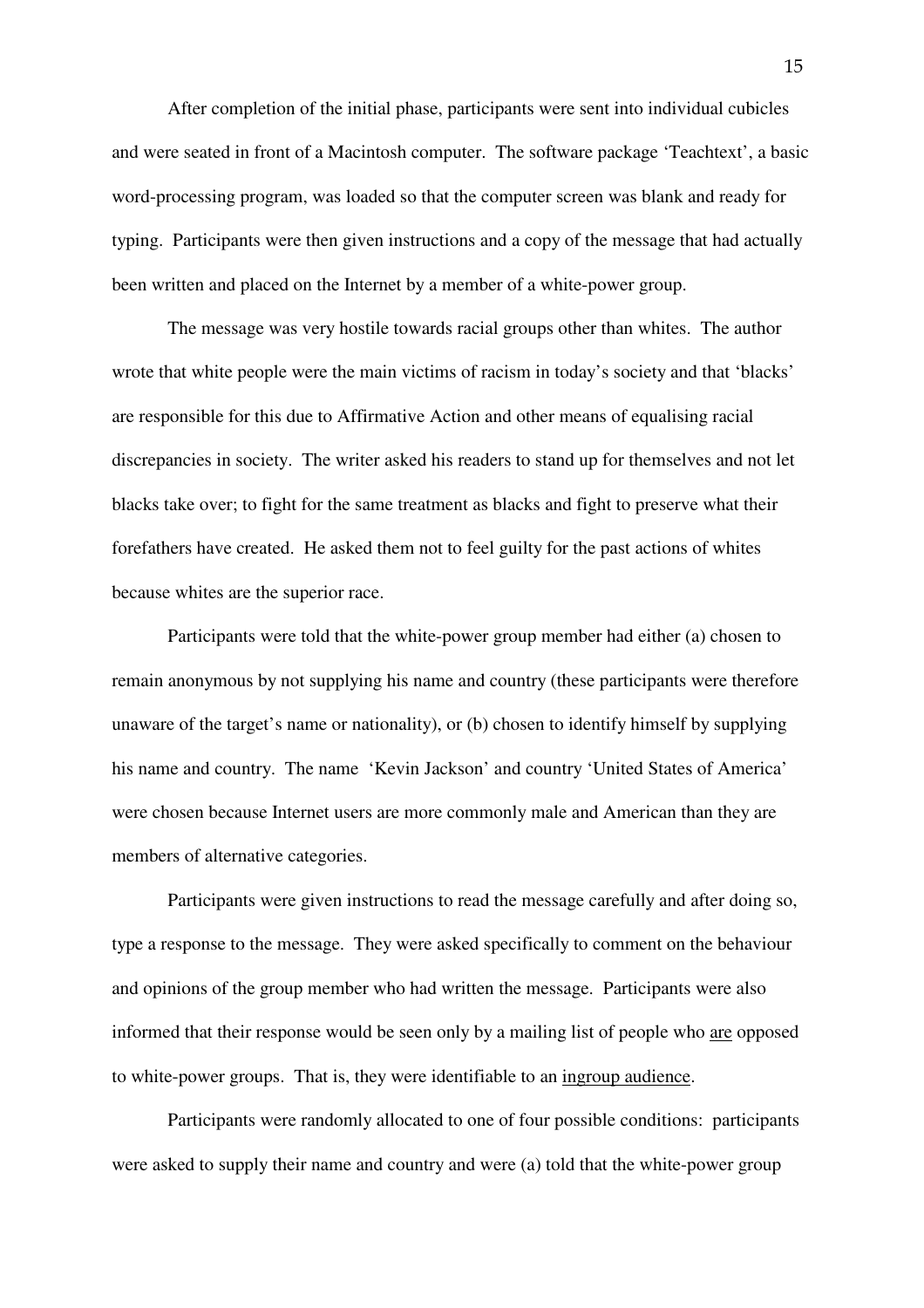After completion of the initial phase, participants were sent into individual cubicles and were seated in front of a Macintosh computer. The software package 'Teachtext', a basic word-processing program, was loaded so that the computer screen was blank and ready for typing. Participants were then given instructions and a copy of the message that had actually been written and placed on the Internet by a member of a white-power group.

 The message was very hostile towards racial groups other than whites. The author wrote that white people were the main victims of racism in today's society and that 'blacks' are responsible for this due to Affirmative Action and other means of equalising racial discrepancies in society. The writer asked his readers to stand up for themselves and not let blacks take over; to fight for the same treatment as blacks and fight to preserve what their forefathers have created. He asked them not to feel guilty for the past actions of whites because whites are the superior race.

Participants were told that the white-power group member had either (a) chosen to remain anonymous by not supplying his name and country (these participants were therefore unaware of the target's name or nationality), or (b) chosen to identify himself by supplying his name and country. The name 'Kevin Jackson' and country 'United States of America' were chosen because Internet users are more commonly male and American than they are members of alternative categories.

 Participants were given instructions to read the message carefully and after doing so, type a response to the message. They were asked specifically to comment on the behaviour and opinions of the group member who had written the message. Participants were also informed that their response would be seen only by a mailing list of people who are opposed to white-power groups. That is, they were identifiable to an ingroup audience.

Participants were randomly allocated to one of four possible conditions: participants were asked to supply their name and country and were (a) told that the white-power group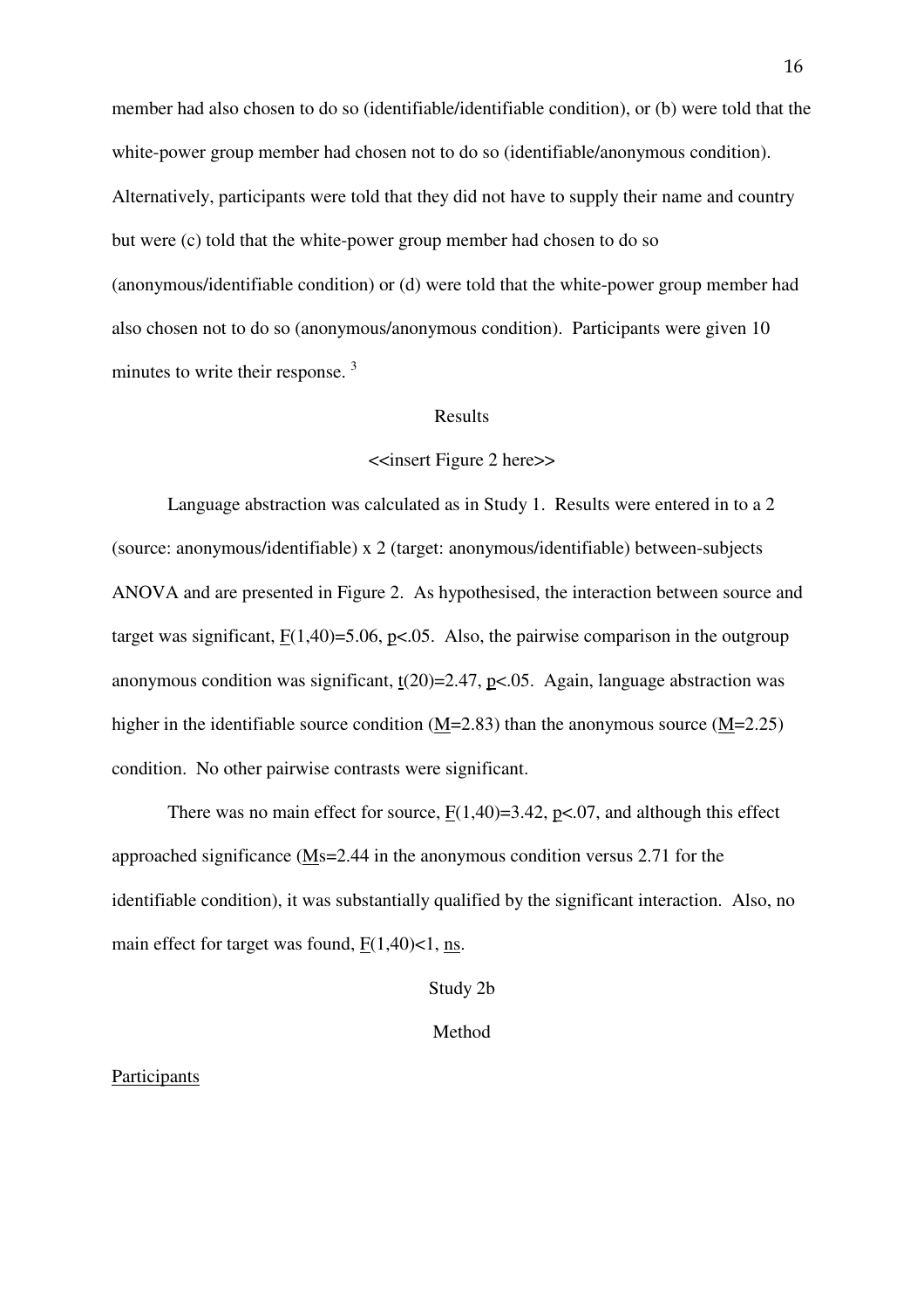member had also chosen to do so (identifiable/identifiable condition), or (b) were told that the white-power group member had chosen not to do so (identifiable/anonymous condition). Alternatively, participants were told that they did not have to supply their name and country but were (c) told that the white-power group member had chosen to do so (anonymous/identifiable condition) or (d) were told that the white-power group member had also chosen not to do so (anonymous/anonymous condition). Participants were given 10 minutes to write their response.<sup>3</sup>

#### Results

#### <<insert Figure 2 here>>

 Language abstraction was calculated as in Study 1. Results were entered in to a 2 (source: anonymous/identifiable) x 2 (target: anonymous/identifiable) between-subjects ANOVA and are presented in Figure 2. As hypothesised, the interaction between source and target was significant,  $F(1,40)=5.06$ ,  $p<.05$ . Also, the pairwise comparison in the outgroup anonymous condition was significant,  $t(20)=2.47$ ,  $p<0.05$ . Again, language abstraction was higher in the identifiable source condition (M=2.83) than the anonymous source (M=2.25) condition. No other pairwise contrasts were significant.

There was no main effect for source,  $F(1,40)=3.42$ ,  $p<0.07$ , and although this effect approached significance (Ms=2.44 in the anonymous condition versus 2.71 for the identifiable condition), it was substantially qualified by the significant interaction. Also, no main effect for target was found,  $F(1,40)$  < 1, ns.

Study 2b

Method

#### Participants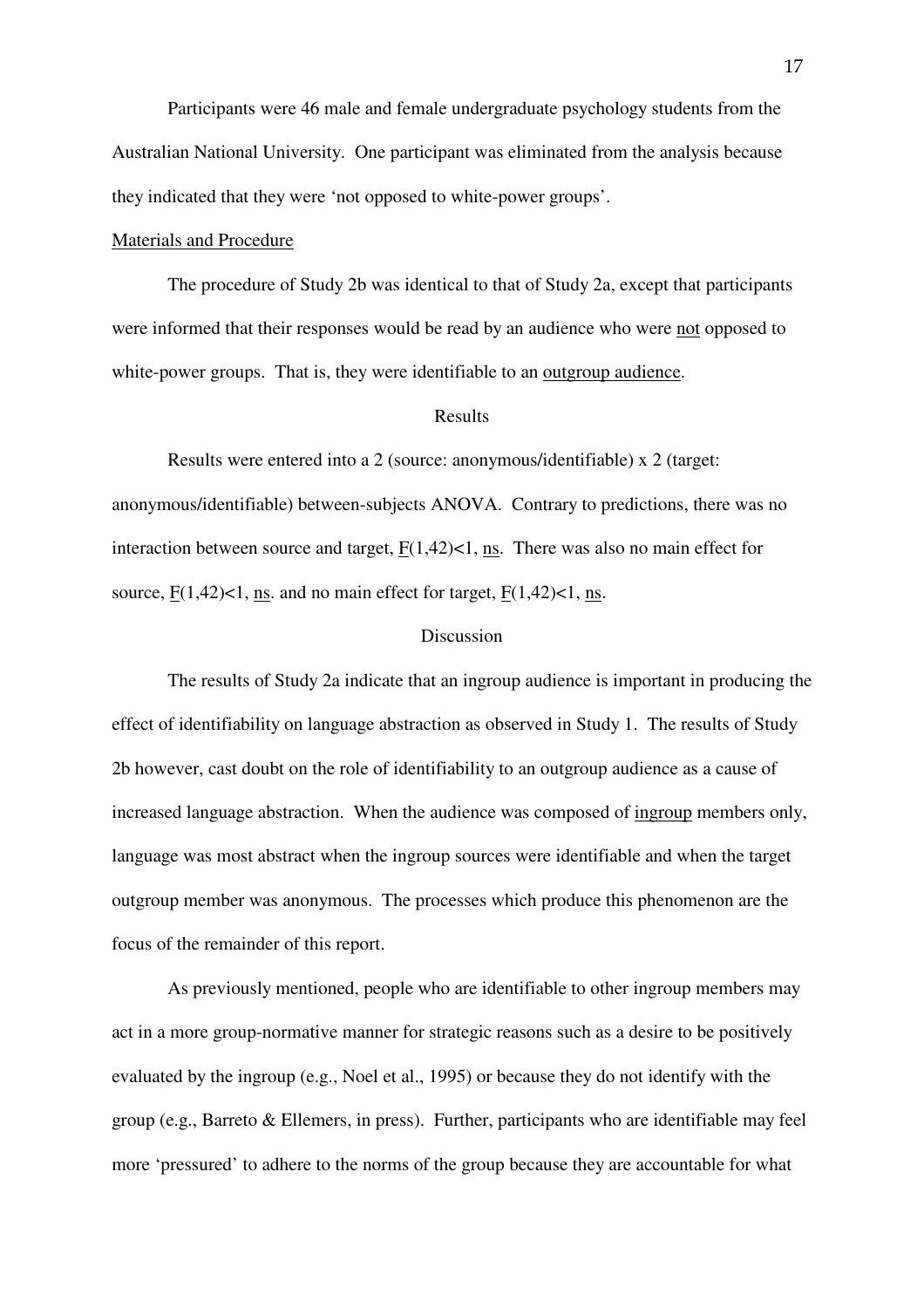Participants were 46 male and female undergraduate psychology students from the Australian National University. One participant was eliminated from the analysis because they indicated that they were 'not opposed to white-power groups'.

#### Materials and Procedure

 The procedure of Study 2b was identical to that of Study 2a, except that participants were informed that their responses would be read by an audience who were not opposed to white-power groups. That is, they were identifiable to an outgroup audience.

#### Results

 Results were entered into a 2 (source: anonymous/identifiable) x 2 (target: anonymous/identifiable) between-subjects ANOVA. Contrary to predictions, there was no interaction between source and target,  $F(1,42)$ <1, ns. There was also no main effect for source,  $F(1,42)$ <1, ns. and no main effect for target,  $F(1,42)$ <1, ns.

#### Discussion

 The results of Study 2a indicate that an ingroup audience is important in producing the effect of identifiability on language abstraction as observed in Study 1. The results of Study 2b however, cast doubt on the role of identifiability to an outgroup audience as a cause of increased language abstraction. When the audience was composed of ingroup members only, language was most abstract when the ingroup sources were identifiable and when the target outgroup member was anonymous. The processes which produce this phenomenon are the focus of the remainder of this report.

 As previously mentioned, people who are identifiable to other ingroup members may act in a more group-normative manner for strategic reasons such as a desire to be positively evaluated by the ingroup (e.g., Noel et al., 1995) or because they do not identify with the group (e.g., Barreto & Ellemers, in press). Further, participants who are identifiable may feel more 'pressured' to adhere to the norms of the group because they are accountable for what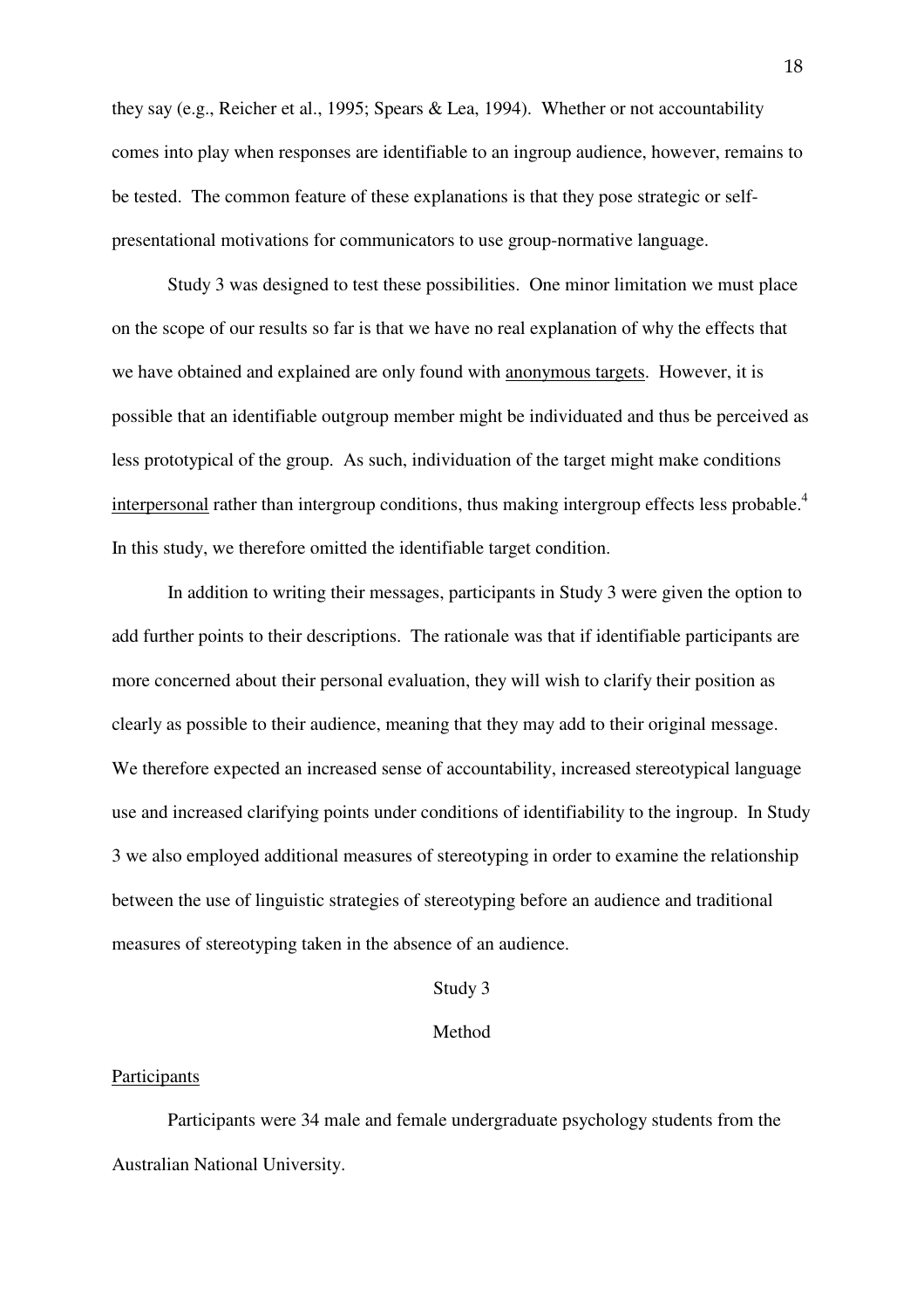they say (e.g., Reicher et al., 1995; Spears & Lea, 1994). Whether or not accountability comes into play when responses are identifiable to an ingroup audience, however, remains to be tested. The common feature of these explanations is that they pose strategic or selfpresentational motivations for communicators to use group-normative language.

 Study 3 was designed to test these possibilities. One minor limitation we must place on the scope of our results so far is that we have no real explanation of why the effects that we have obtained and explained are only found with anonymous targets. However, it is possible that an identifiable outgroup member might be individuated and thus be perceived as less prototypical of the group. As such, individuation of the target might make conditions interpersonal rather than intergroup conditions, thus making intergroup effects less probable.<sup>4</sup> In this study, we therefore omitted the identifiable target condition.

In addition to writing their messages, participants in Study 3 were given the option to add further points to their descriptions. The rationale was that if identifiable participants are more concerned about their personal evaluation, they will wish to clarify their position as clearly as possible to their audience, meaning that they may add to their original message. We therefore expected an increased sense of accountability, increased stereotypical language use and increased clarifying points under conditions of identifiability to the ingroup. In Study 3 we also employed additional measures of stereotyping in order to examine the relationship between the use of linguistic strategies of stereotyping before an audience and traditional measures of stereotyping taken in the absence of an audience.

#### Study 3

#### Method

#### **Participants**

 Participants were 34 male and female undergraduate psychology students from the Australian National University.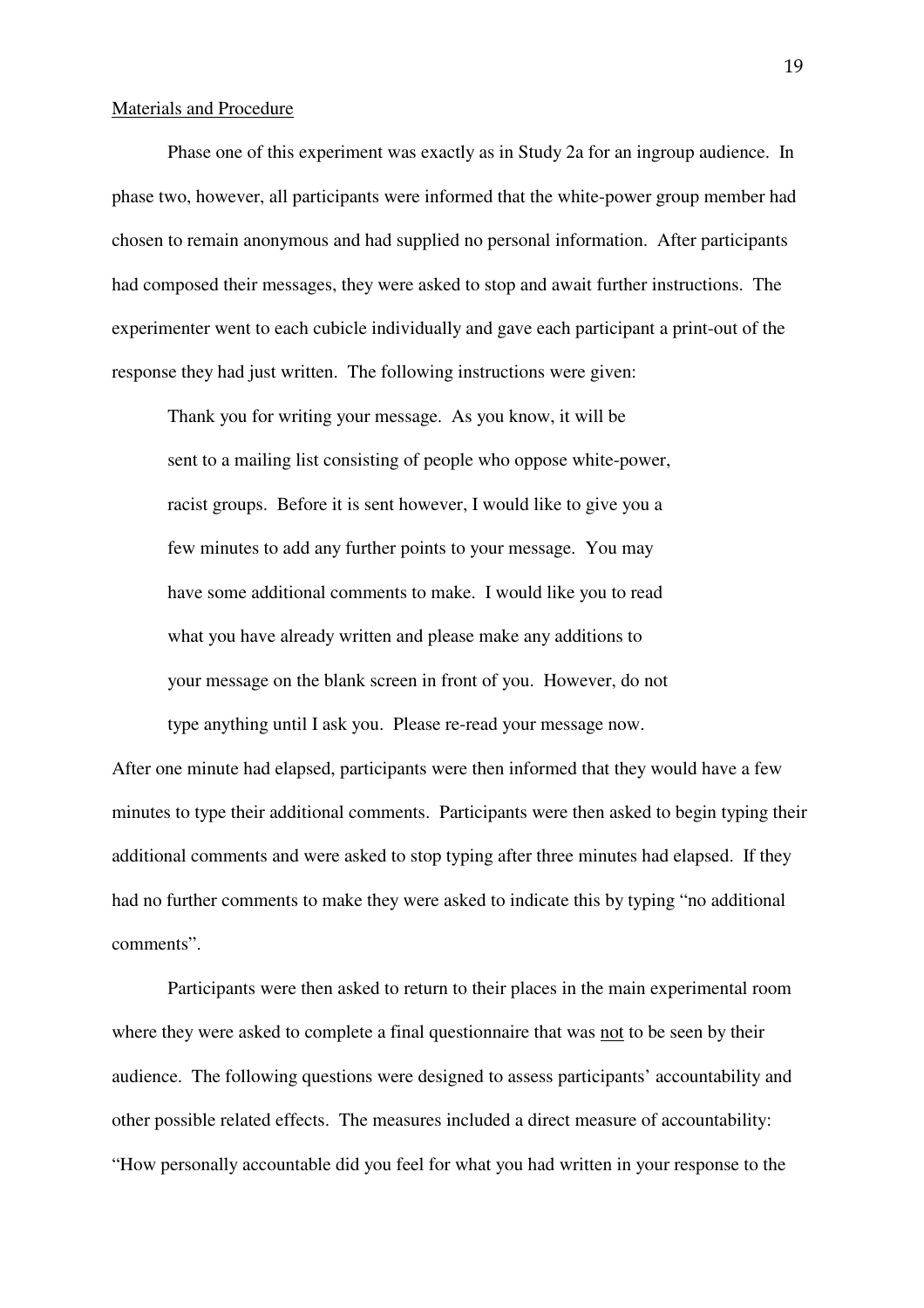#### Materials and Procedure

 Phase one of this experiment was exactly as in Study 2a for an ingroup audience. In phase two, however, all participants were informed that the white-power group member had chosen to remain anonymous and had supplied no personal information. After participants had composed their messages, they were asked to stop and await further instructions. The experimenter went to each cubicle individually and gave each participant a print-out of the response they had just written. The following instructions were given:

 Thank you for writing your message. As you know, it will be sent to a mailing list consisting of people who oppose white-power, racist groups. Before it is sent however, I would like to give you a few minutes to add any further points to your message. You may have some additional comments to make. I would like you to read what you have already written and please make any additions to your message on the blank screen in front of you. However, do not

type anything until I ask you. Please re-read your message now.

After one minute had elapsed, participants were then informed that they would have a few minutes to type their additional comments. Participants were then asked to begin typing their additional comments and were asked to stop typing after three minutes had elapsed. If they had no further comments to make they were asked to indicate this by typing "no additional comments".

 Participants were then asked to return to their places in the main experimental room where they were asked to complete a final questionnaire that was not to be seen by their audience. The following questions were designed to assess participants' accountability and other possible related effects. The measures included a direct measure of accountability: "How personally accountable did you feel for what you had written in your response to the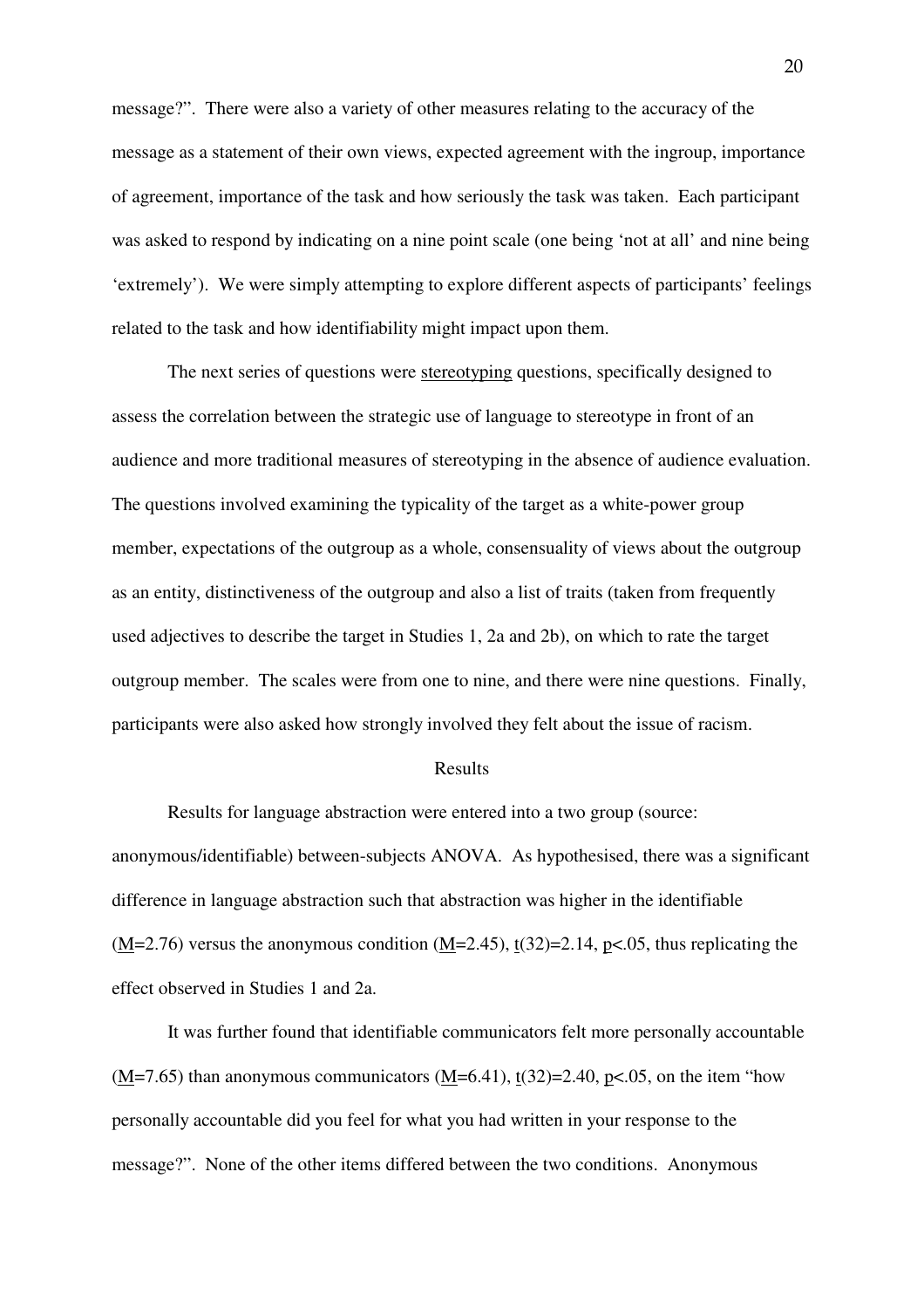message?". There were also a variety of other measures relating to the accuracy of the message as a statement of their own views, expected agreement with the ingroup, importance of agreement, importance of the task and how seriously the task was taken. Each participant was asked to respond by indicating on a nine point scale (one being 'not at all' and nine being 'extremely'). We were simply attempting to explore different aspects of participants' feelings related to the task and how identifiability might impact upon them.

 The next series of questions were stereotyping questions, specifically designed to assess the correlation between the strategic use of language to stereotype in front of an audience and more traditional measures of stereotyping in the absence of audience evaluation. The questions involved examining the typicality of the target as a white-power group member, expectations of the outgroup as a whole, consensuality of views about the outgroup as an entity, distinctiveness of the outgroup and also a list of traits (taken from frequently used adjectives to describe the target in Studies 1, 2a and 2b), on which to rate the target outgroup member. The scales were from one to nine, and there were nine questions. Finally, participants were also asked how strongly involved they felt about the issue of racism.

#### Results

 Results for language abstraction were entered into a two group (source: anonymous/identifiable) between-subjects ANOVA. As hypothesised, there was a significant difference in language abstraction such that abstraction was higher in the identifiable  $(M=2.76)$  versus the anonymous condition  $(M=2.45)$ ,  $t(32)=2.14$ ,  $p<0.05$ , thus replicating the effect observed in Studies 1 and 2a.

 It was further found that identifiable communicators felt more personally accountable  $(M=7.65)$  than anonymous communicators  $(M=6.41)$ ,  $t(32)=2.40$ ,  $p<0.05$ , on the item "how personally accountable did you feel for what you had written in your response to the message?". None of the other items differed between the two conditions. Anonymous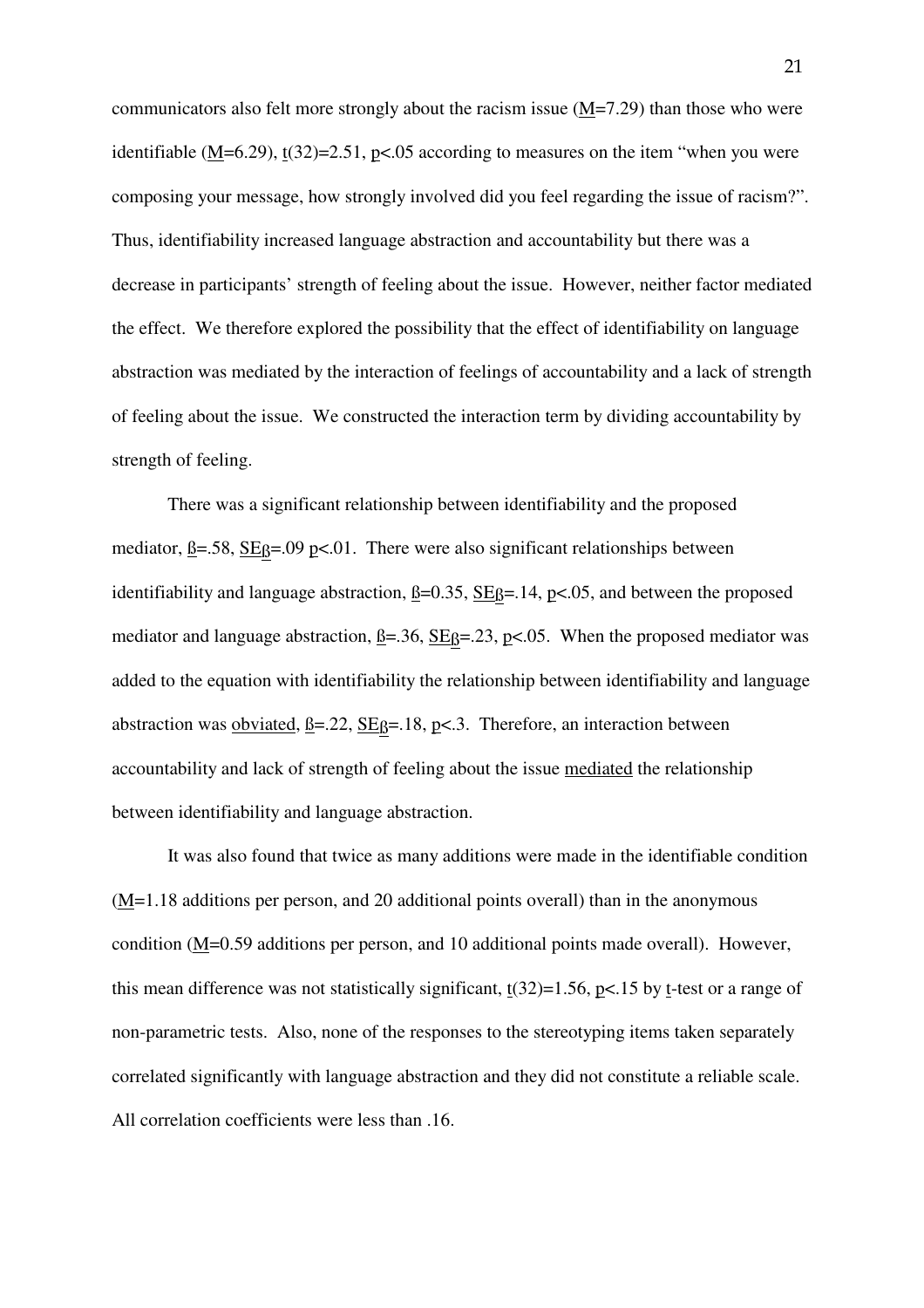communicators also felt more strongly about the racism issue (M=7.29) than those who were identifiable  $(M=6.29)$ ,  $t(32)=2.51$ ,  $p<0.05$  according to measures on the item "when you were composing your message, how strongly involved did you feel regarding the issue of racism?". Thus, identifiability increased language abstraction and accountability but there was a decrease in participants' strength of feeling about the issue. However, neither factor mediated the effect. We therefore explored the possibility that the effect of identifiability on language abstraction was mediated by the interaction of feelings of accountability and a lack of strength of feeling about the issue. We constructed the interaction term by dividing accountability by strength of feeling.

 There was a significant relationship between identifiability and the proposed mediator,  $\beta = .58$ ,  $SE\beta = .09$  p<.01. There were also significant relationships between identifiability and language abstraction,  $\beta = 0.35$ ,  $\text{SE}_{\beta} = 14$ ,  $\text{pc}, 05$ , and between the proposed mediator and language abstraction,  $\underline{B} = .36$ ,  $\underline{SE} = .23$ ,  $\underline{p} < .05$ . When the proposed mediator was added to the equation with identifiability the relationship between identifiability and language abstraction was obviated,  $\beta = 0.22$ ,  $SE\beta = 0.18$ ,  $p < 0.3$ . Therefore, an interaction between accountability and lack of strength of feeling about the issue mediated the relationship between identifiability and language abstraction.

 It was also found that twice as many additions were made in the identifiable condition (M=1.18 additions per person, and 20 additional points overall) than in the anonymous condition (M=0.59 additions per person, and 10 additional points made overall). However, this mean difference was not statistically significant,  $t(32)=1.56$ ,  $p<15$  by t-test or a range of non-parametric tests. Also, none of the responses to the stereotyping items taken separately correlated significantly with language abstraction and they did not constitute a reliable scale. All correlation coefficients were less than .16.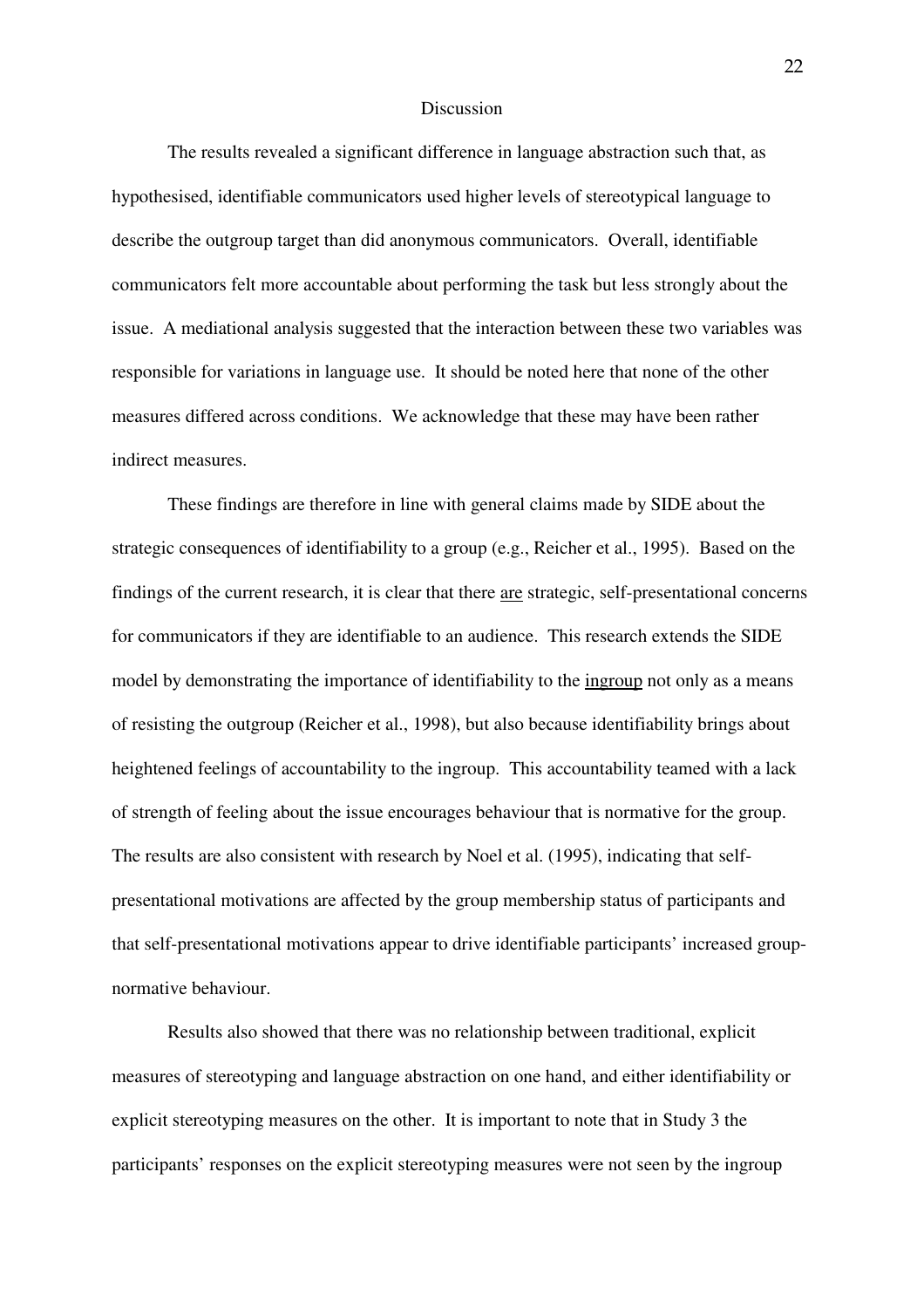#### Discussion

 The results revealed a significant difference in language abstraction such that, as hypothesised, identifiable communicators used higher levels of stereotypical language to describe the outgroup target than did anonymous communicators. Overall, identifiable communicators felt more accountable about performing the task but less strongly about the issue. A mediational analysis suggested that the interaction between these two variables was responsible for variations in language use. It should be noted here that none of the other measures differed across conditions. We acknowledge that these may have been rather indirect measures.

 These findings are therefore in line with general claims made by SIDE about the strategic consequences of identifiability to a group (e.g., Reicher et al., 1995). Based on the findings of the current research, it is clear that there are strategic, self-presentational concerns for communicators if they are identifiable to an audience. This research extends the SIDE model by demonstrating the importance of identifiability to the ingroup not only as a means of resisting the outgroup (Reicher et al., 1998), but also because identifiability brings about heightened feelings of accountability to the ingroup. This accountability teamed with a lack of strength of feeling about the issue encourages behaviour that is normative for the group. The results are also consistent with research by Noel et al. (1995), indicating that selfpresentational motivations are affected by the group membership status of participants and that self-presentational motivations appear to drive identifiable participants' increased groupnormative behaviour.

 Results also showed that there was no relationship between traditional, explicit measures of stereotyping and language abstraction on one hand, and either identifiability or explicit stereotyping measures on the other. It is important to note that in Study 3 the participants' responses on the explicit stereotyping measures were not seen by the ingroup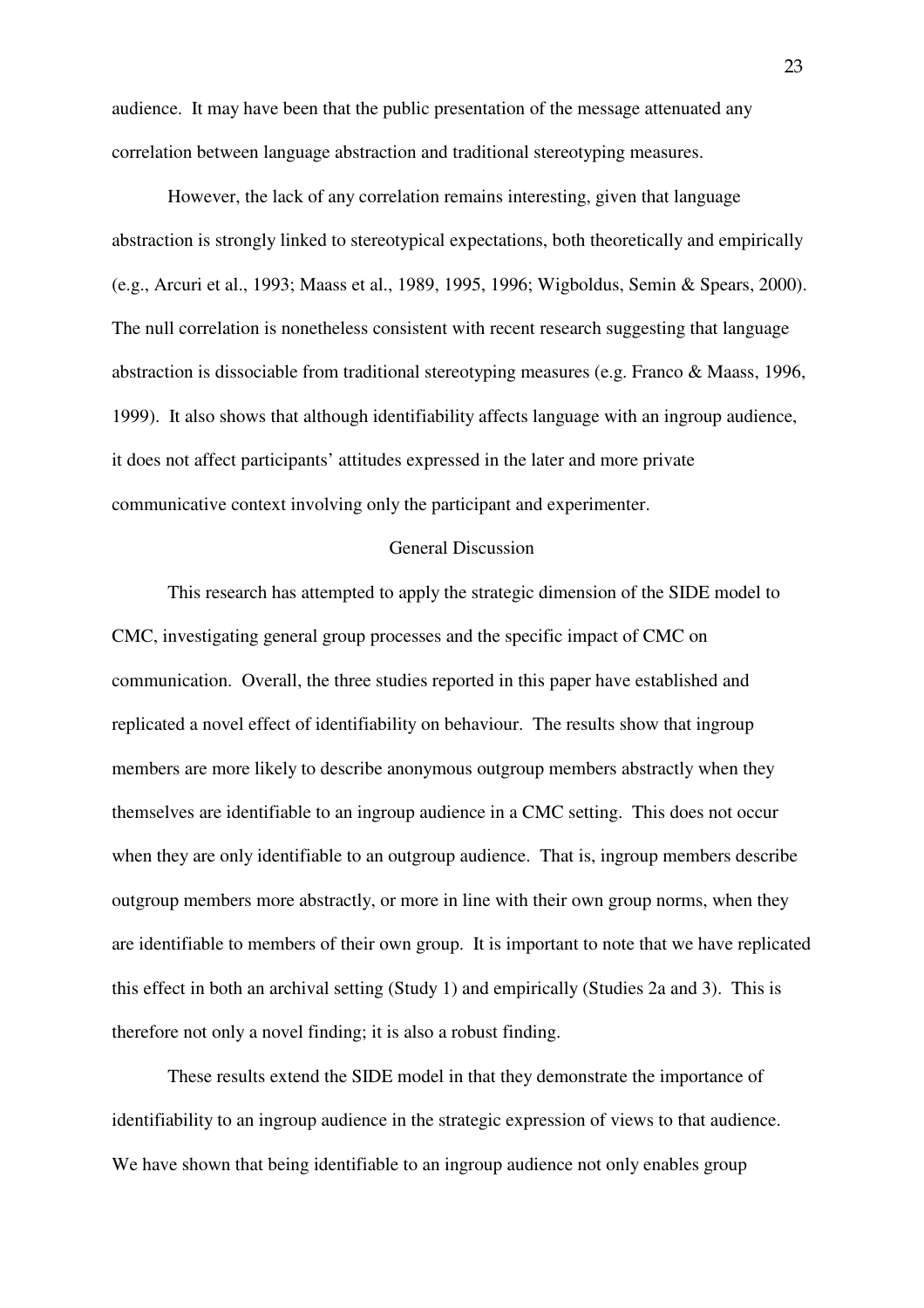audience. It may have been that the public presentation of the message attenuated any correlation between language abstraction and traditional stereotyping measures.

However, the lack of any correlation remains interesting, given that language abstraction is strongly linked to stereotypical expectations, both theoretically and empirically (e.g., Arcuri et al., 1993; Maass et al., 1989, 1995, 1996; Wigboldus, Semin & Spears, 2000). The null correlation is nonetheless consistent with recent research suggesting that language abstraction is dissociable from traditional stereotyping measures (e.g. Franco & Maass, 1996, 1999). It also shows that although identifiability affects language with an ingroup audience, it does not affect participants' attitudes expressed in the later and more private communicative context involving only the participant and experimenter.

#### General Discussion

This research has attempted to apply the strategic dimension of the SIDE model to CMC, investigating general group processes and the specific impact of CMC on communication. Overall, the three studies reported in this paper have established and replicated a novel effect of identifiability on behaviour. The results show that ingroup members are more likely to describe anonymous outgroup members abstractly when they themselves are identifiable to an ingroup audience in a CMC setting. This does not occur when they are only identifiable to an outgroup audience. That is, ingroup members describe outgroup members more abstractly, or more in line with their own group norms, when they are identifiable to members of their own group. It is important to note that we have replicated this effect in both an archival setting (Study 1) and empirically (Studies 2a and 3). This is therefore not only a novel finding; it is also a robust finding.

 These results extend the SIDE model in that they demonstrate the importance of identifiability to an ingroup audience in the strategic expression of views to that audience. We have shown that being identifiable to an ingroup audience not only enables group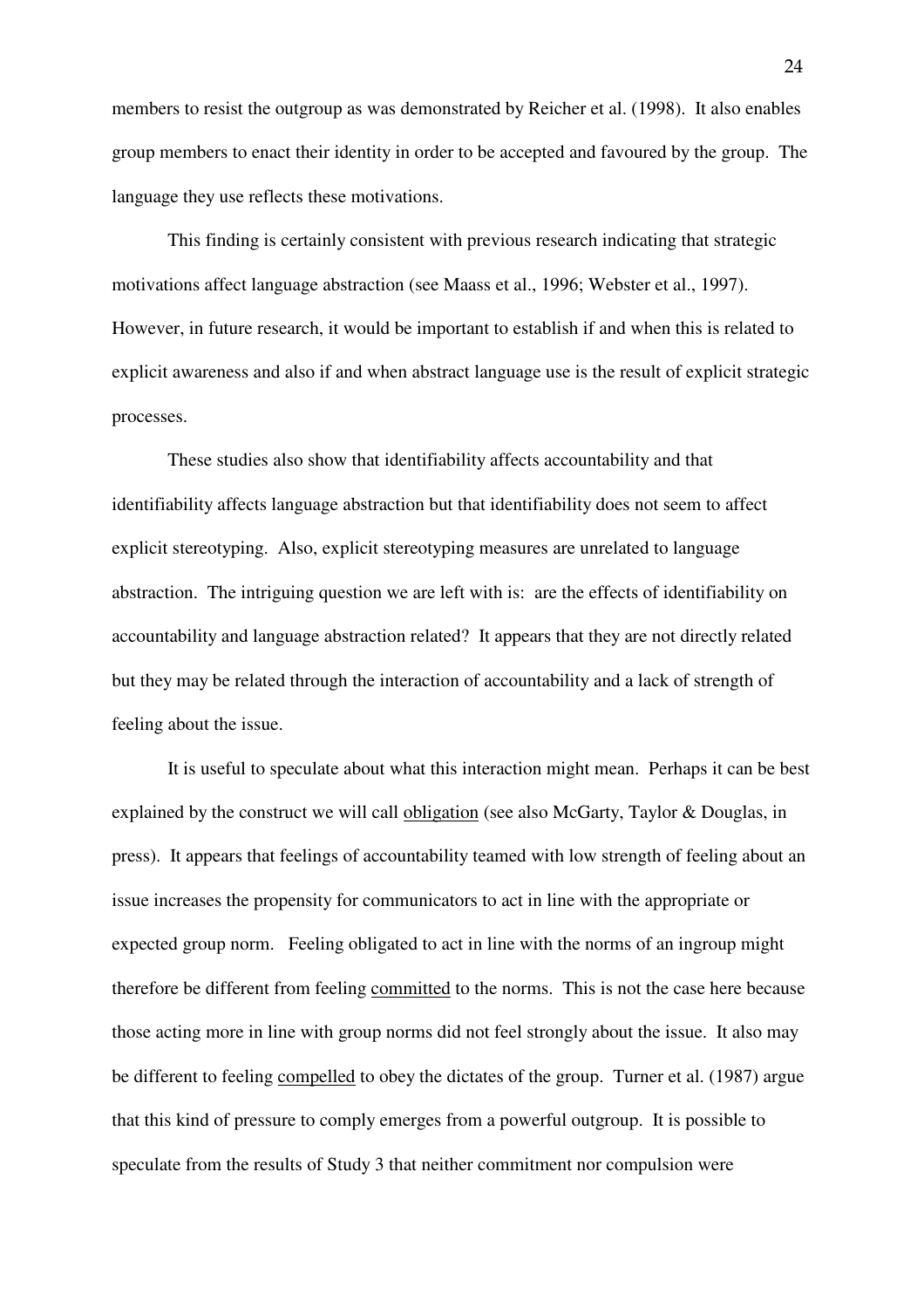members to resist the outgroup as was demonstrated by Reicher et al. (1998). It also enables group members to enact their identity in order to be accepted and favoured by the group. The language they use reflects these motivations.

 This finding is certainly consistent with previous research indicating that strategic motivations affect language abstraction (see Maass et al., 1996; Webster et al., 1997). However, in future research, it would be important to establish if and when this is related to explicit awareness and also if and when abstract language use is the result of explicit strategic processes.

 These studies also show that identifiability affects accountability and that identifiability affects language abstraction but that identifiability does not seem to affect explicit stereotyping. Also, explicit stereotyping measures are unrelated to language abstraction. The intriguing question we are left with is: are the effects of identifiability on accountability and language abstraction related? It appears that they are not directly related but they may be related through the interaction of accountability and a lack of strength of feeling about the issue.

 It is useful to speculate about what this interaction might mean. Perhaps it can be best explained by the construct we will call obligation (see also McGarty, Taylor & Douglas, in press). It appears that feelings of accountability teamed with low strength of feeling about an issue increases the propensity for communicators to act in line with the appropriate or expected group norm. Feeling obligated to act in line with the norms of an ingroup might therefore be different from feeling committed to the norms. This is not the case here because those acting more in line with group norms did not feel strongly about the issue. It also may be different to feeling compelled to obey the dictates of the group. Turner et al. (1987) argue that this kind of pressure to comply emerges from a powerful outgroup. It is possible to speculate from the results of Study 3 that neither commitment nor compulsion were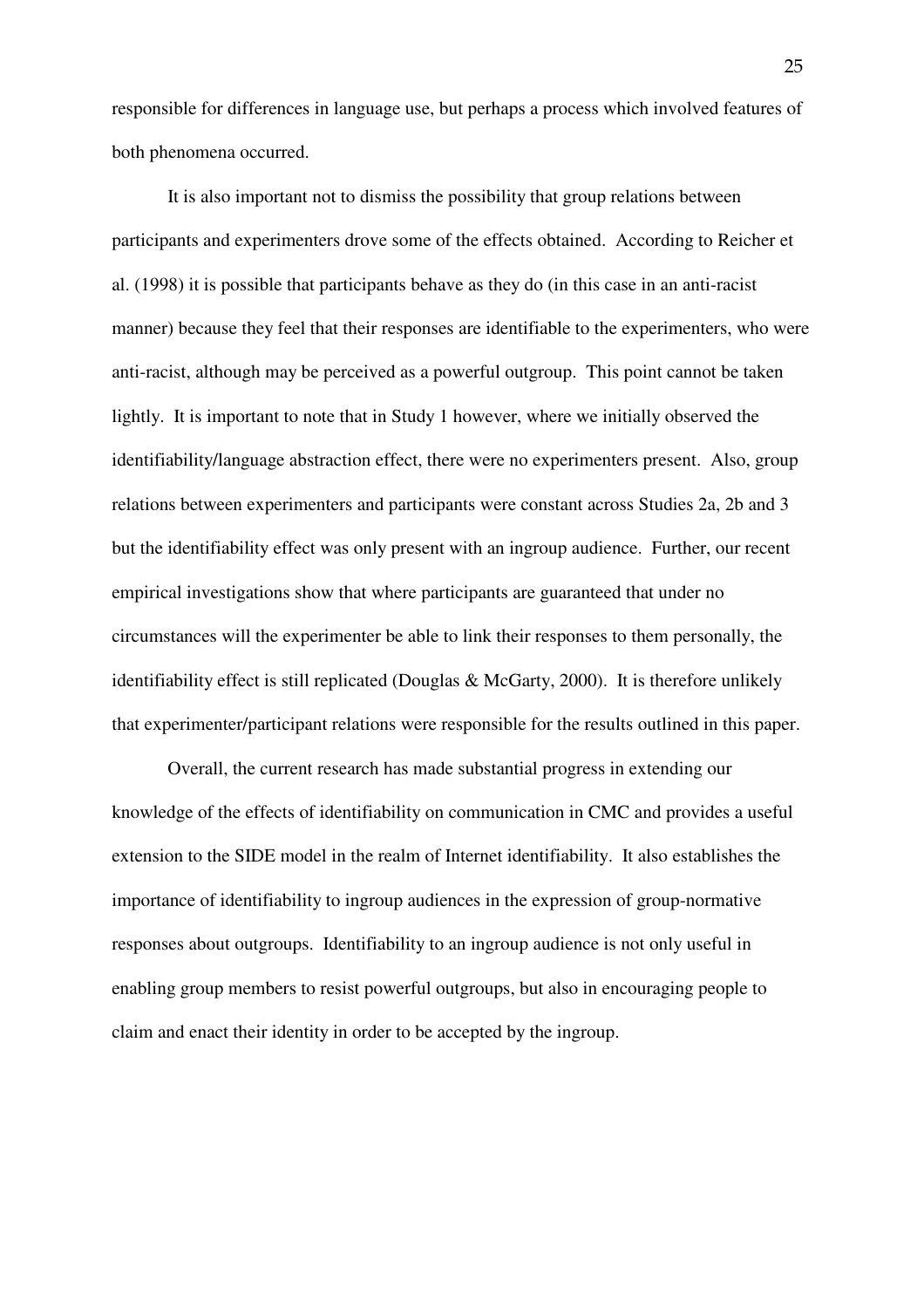responsible for differences in language use, but perhaps a process which involved features of both phenomena occurred.

 It is also important not to dismiss the possibility that group relations between participants and experimenters drove some of the effects obtained. According to Reicher et al. (1998) it is possible that participants behave as they do (in this case in an anti-racist manner) because they feel that their responses are identifiable to the experimenters, who were anti-racist, although may be perceived as a powerful outgroup. This point cannot be taken lightly. It is important to note that in Study 1 however, where we initially observed the identifiability/language abstraction effect, there were no experimenters present. Also, group relations between experimenters and participants were constant across Studies 2a, 2b and 3 but the identifiability effect was only present with an ingroup audience. Further, our recent empirical investigations show that where participants are guaranteed that under no circumstances will the experimenter be able to link their responses to them personally, the identifiability effect is still replicated (Douglas & McGarty, 2000). It is therefore unlikely that experimenter/participant relations were responsible for the results outlined in this paper.

 Overall, the current research has made substantial progress in extending our knowledge of the effects of identifiability on communication in CMC and provides a useful extension to the SIDE model in the realm of Internet identifiability. It also establishes the importance of identifiability to ingroup audiences in the expression of group-normative responses about outgroups. Identifiability to an ingroup audience is not only useful in enabling group members to resist powerful outgroups, but also in encouraging people to claim and enact their identity in order to be accepted by the ingroup.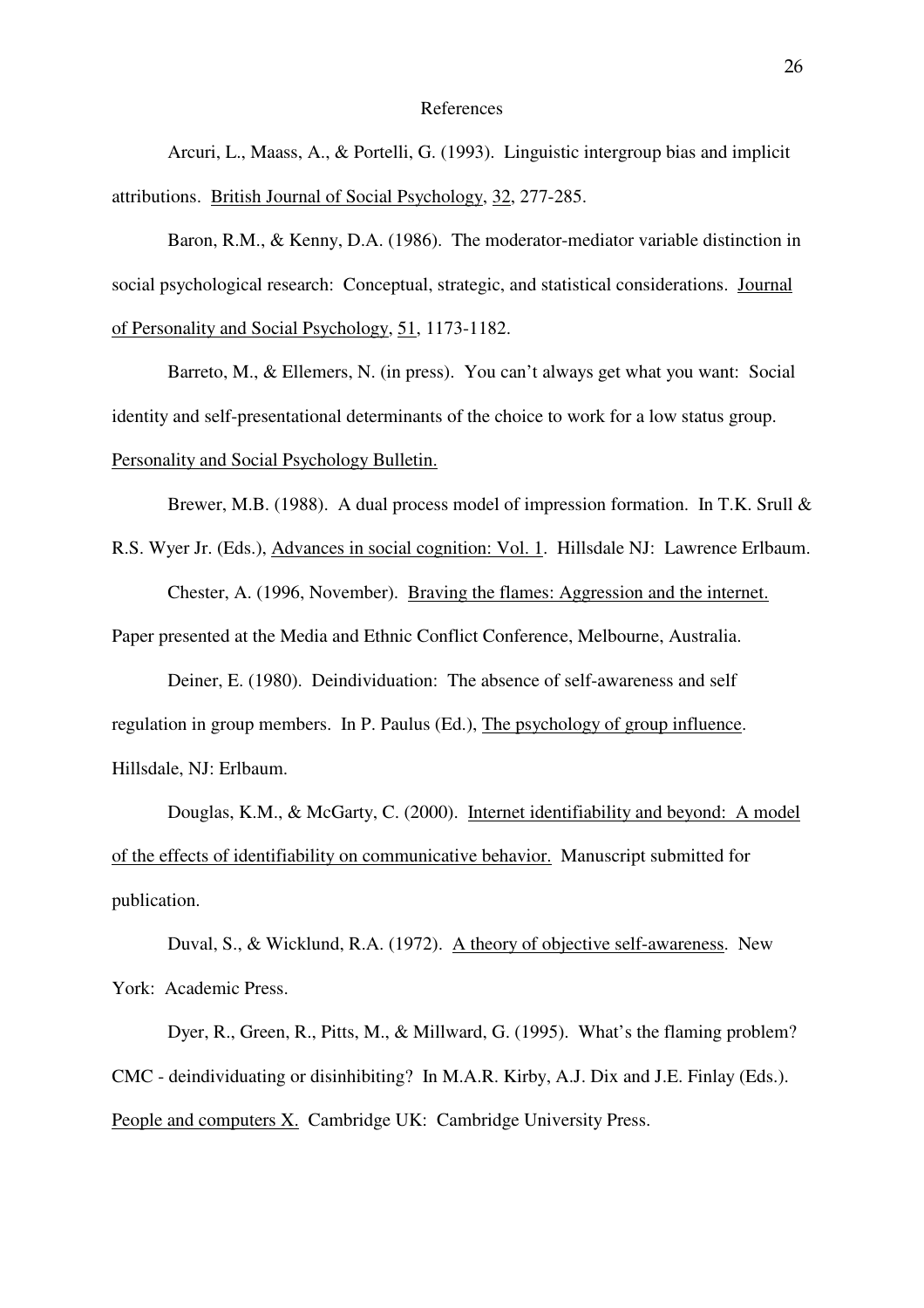#### References

 Arcuri, L., Maass, A., & Portelli, G. (1993). Linguistic intergroup bias and implicit attributions. British Journal of Social Psychology, 32, 277-285.

 Baron, R.M., & Kenny, D.A. (1986). The moderator-mediator variable distinction in social psychological research: Conceptual, strategic, and statistical considerations. Journal of Personality and Social Psychology, 51, 1173-1182.

Barreto, M., & Ellemers, N. (in press). You can't always get what you want: Social identity and self-presentational determinants of the choice to work for a low status group. Personality and Social Psychology Bulletin.

Brewer, M.B. (1988). A dual process model of impression formation. In T.K. Srull &

R.S. Wyer Jr. (Eds.), Advances in social cognition: Vol. 1. Hillsdale NJ: Lawrence Erlbaum.

Chester, A. (1996, November). Braving the flames: Aggression and the internet.

Paper presented at the Media and Ethnic Conflict Conference, Melbourne, Australia.

 Deiner, E. (1980). Deindividuation: The absence of self-awareness and self regulation in group members. In P. Paulus (Ed.), The psychology of group influence. Hillsdale, NJ: Erlbaum.

Douglas, K.M., & McGarty, C. (2000). Internet identifiability and beyond: A model of the effects of identifiability on communicative behavior. Manuscript submitted for publication.

 Duval, S., & Wicklund, R.A. (1972). A theory of objective self-awareness. New York: Academic Press.

Dyer, R., Green, R., Pitts, M., & Millward, G. (1995). What's the flaming problem? CMC - deindividuating or disinhibiting? In M.A.R. Kirby, A.J. Dix and J.E. Finlay (Eds.). People and computers X. Cambridge UK: Cambridge University Press.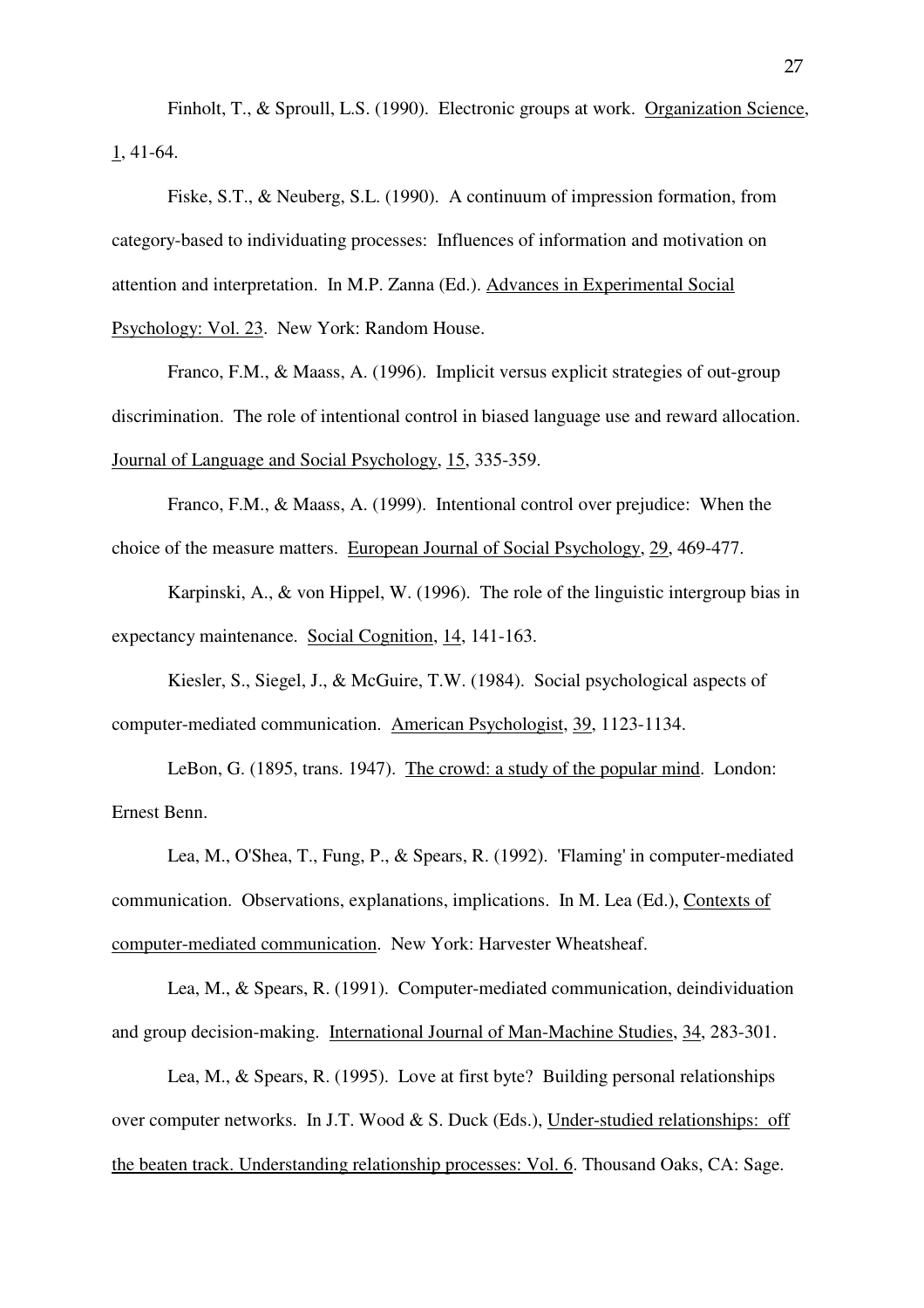Finholt, T., & Sproull, L.S. (1990). Electronic groups at work. Organization Science, 1, 41-64.

 Fiske, S.T., & Neuberg, S.L. (1990). A continuum of impression formation, from category-based to individuating processes: Influences of information and motivation on attention and interpretation. In M.P. Zanna (Ed.). Advances in Experimental Social Psychology: Vol. 23. New York: Random House.

 Franco, F.M., & Maass, A. (1996). Implicit versus explicit strategies of out-group discrimination. The role of intentional control in biased language use and reward allocation. Journal of Language and Social Psychology, 15, 335-359.

Franco, F.M., & Maass, A. (1999). Intentional control over prejudice: When the choice of the measure matters. European Journal of Social Psychology, 29, 469-477.

 Karpinski, A., & von Hippel, W. (1996). The role of the linguistic intergroup bias in expectancy maintenance. Social Cognition, 14, 141-163.

 Kiesler, S., Siegel, J., & McGuire, T.W. (1984). Social psychological aspects of computer-mediated communication. American Psychologist, 39, 1123-1134.

 LeBon, G. (1895, trans. 1947). The crowd: a study of the popular mind. London: Ernest Benn.

 Lea, M., O'Shea, T., Fung, P., & Spears, R. (1992). 'Flaming' in computer-mediated communication. Observations, explanations, implications. In M. Lea (Ed.), Contexts of computer-mediated communication. New York: Harvester Wheatsheaf.

 Lea, M., & Spears, R. (1991). Computer-mediated communication, deindividuation and group decision-making. International Journal of Man-Machine Studies, 34, 283-301.

 Lea, M., & Spears, R. (1995). Love at first byte? Building personal relationships over computer networks. In J.T. Wood & S. Duck (Eds.), Under-studied relationships: off the beaten track. Understanding relationship processes: Vol. 6. Thousand Oaks, CA: Sage.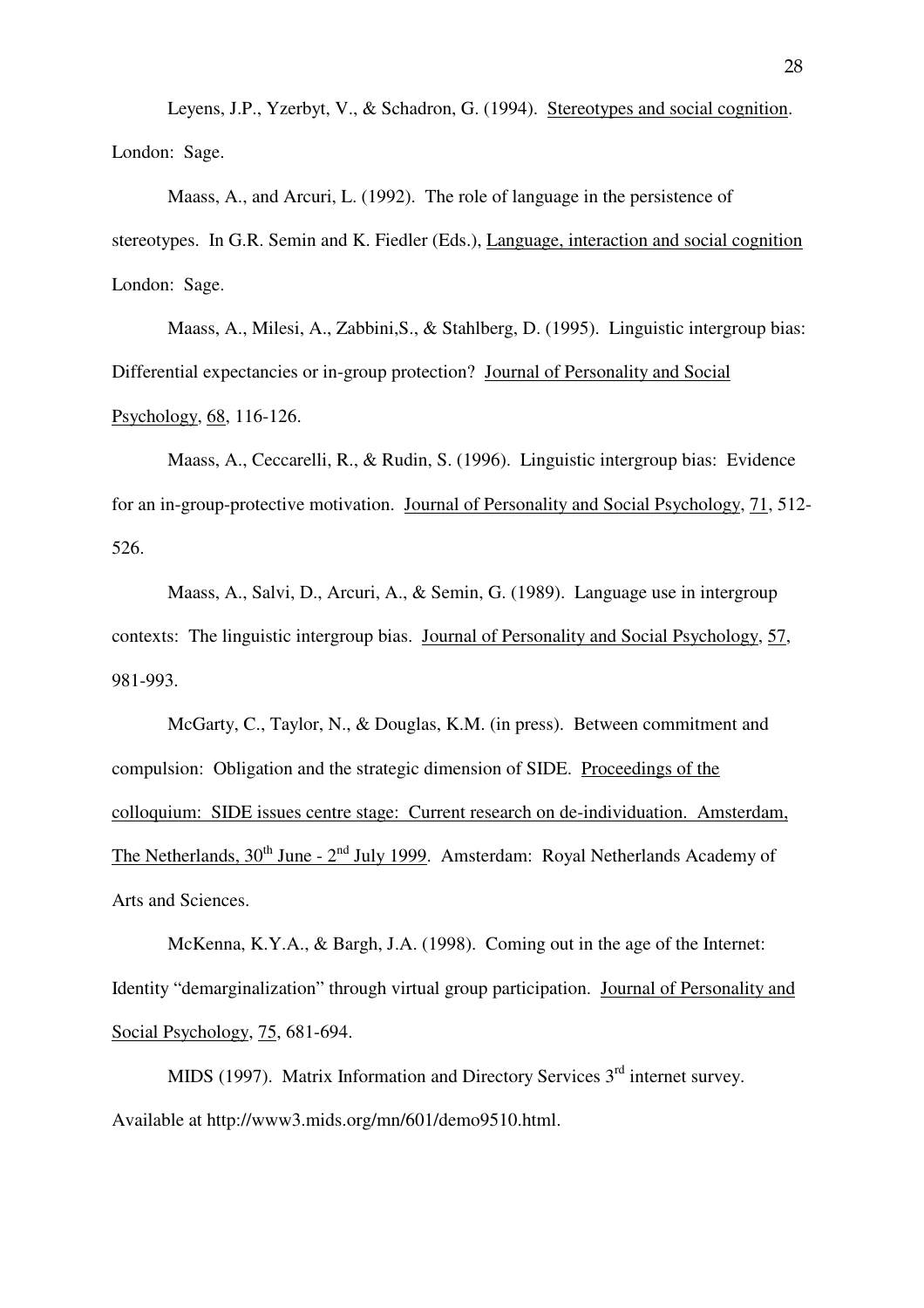Leyens, J.P., Yzerbyt, V., & Schadron, G. (1994). Stereotypes and social cognition. London: Sage.

 Maass, A., and Arcuri, L. (1992). The role of language in the persistence of stereotypes. In G.R. Semin and K. Fiedler (Eds.), Language, interaction and social cognition London: Sage.

 Maass, A., Milesi, A., Zabbini,S., & Stahlberg, D. (1995). Linguistic intergroup bias: Differential expectancies or in-group protection? Journal of Personality and Social Psychology, 68, 116-126.

 Maass, A., Ceccarelli, R., & Rudin, S. (1996). Linguistic intergroup bias: Evidence for an in-group-protective motivation. Journal of Personality and Social Psychology, 71, 512- 526.

 Maass, A., Salvi, D., Arcuri, A., & Semin, G. (1989). Language use in intergroup contexts: The linguistic intergroup bias. Journal of Personality and Social Psychology, 57, 981-993.

McGarty, C., Taylor, N., & Douglas, K.M. (in press). Between commitment and compulsion: Obligation and the strategic dimension of SIDE. Proceedings of the colloquium: SIDE issues centre stage: Current research on de-individuation. Amsterdam, The Netherlands,  $30^{th}$  June -  $2^{nd}$  July 1999. Amsterdam: Royal Netherlands Academy of Arts and Sciences.

McKenna, K.Y.A., & Bargh, J.A. (1998). Coming out in the age of the Internet: Identity "demarginalization" through virtual group participation. Journal of Personality and Social Psychology, 75, 681-694.

MIDS (1997). Matrix Information and Directory Services  $3<sup>rd</sup>$  internet survey. Available at http://www3.mids.org/mn/601/demo9510.html.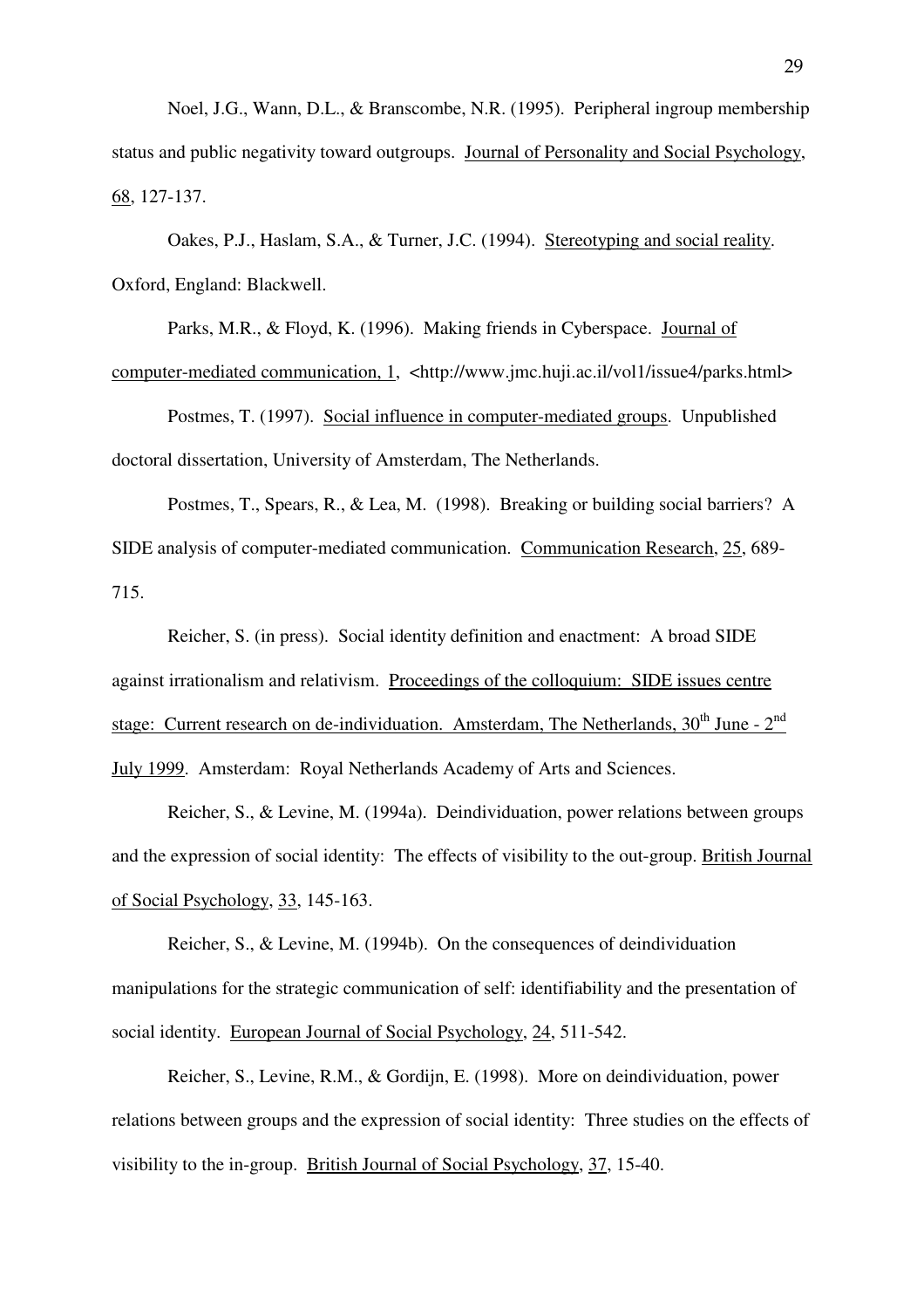Noel, J.G., Wann, D.L., & Branscombe, N.R. (1995). Peripheral ingroup membership status and public negativity toward outgroups. Journal of Personality and Social Psychology, 68, 127-137.

 Oakes, P.J., Haslam, S.A., & Turner, J.C. (1994). Stereotyping and social reality. Oxford, England: Blackwell.

Parks, M.R., & Floyd, K. (1996). Making friends in Cyberspace. Journal of computer-mediated communication, 1, <http://www.jmc.huji.ac.il/vol1/issue4/parks.html>

 Postmes, T. (1997). Social influence in computer-mediated groups. Unpublished doctoral dissertation, University of Amsterdam, The Netherlands.

Postmes, T., Spears, R., & Lea, M. (1998). Breaking or building social barriers? A SIDE analysis of computer-mediated communication. Communication Research, 25, 689- 715.

Reicher, S. (in press). Social identity definition and enactment: A broad SIDE against irrationalism and relativism. Proceedings of the colloquium: SIDE issues centre stage: Current research on de-individuation. Amsterdam, The Netherlands,  $30<sup>th</sup>$  June -  $2<sup>nd</sup>$ July 1999. Amsterdam: Royal Netherlands Academy of Arts and Sciences.

Reicher, S., & Levine, M. (1994a). Deindividuation, power relations between groups and the expression of social identity: The effects of visibility to the out-group. British Journal of Social Psychology, 33, 145-163.

 Reicher, S., & Levine, M. (1994b). On the consequences of deindividuation manipulations for the strategic communication of self: identifiability and the presentation of social identity. European Journal of Social Psychology, 24, 511-542.

 Reicher, S., Levine, R.M., & Gordijn, E. (1998). More on deindividuation, power relations between groups and the expression of social identity: Three studies on the effects of visibility to the in-group. British Journal of Social Psychology, 37, 15-40.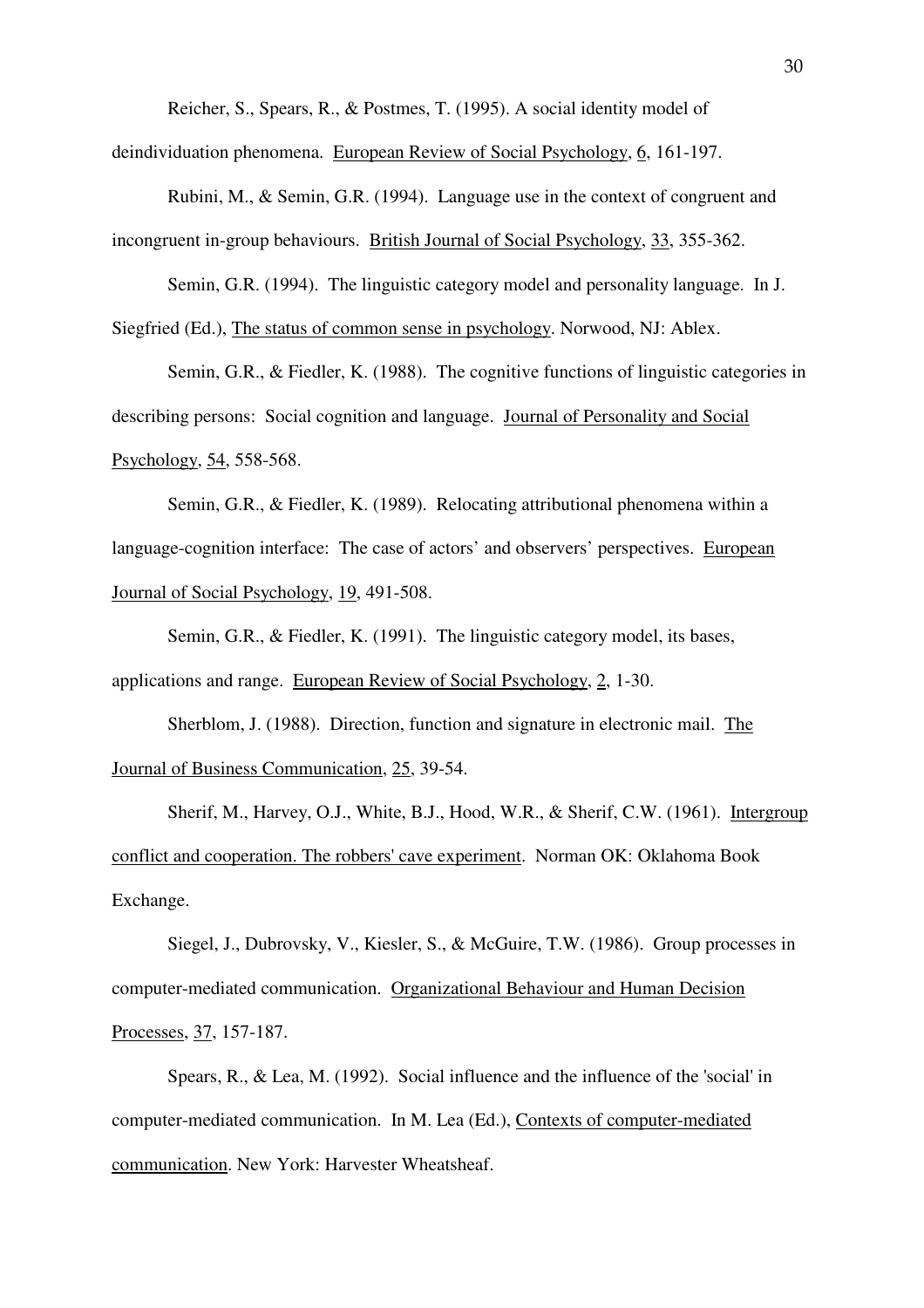Reicher, S., Spears, R., & Postmes, T. (1995). A social identity model of

deindividuation phenomena. European Review of Social Psychology, 6, 161-197.

 Rubini, M., & Semin, G.R. (1994). Language use in the context of congruent and incongruent in-group behaviours. British Journal of Social Psychology, 33, 355-362.

 Semin, G.R. (1994). The linguistic category model and personality language. In J. Siegfried (Ed.), The status of common sense in psychology. Norwood, NJ: Ablex.

 Semin, G.R., & Fiedler, K. (1988). The cognitive functions of linguistic categories in describing persons: Social cognition and language. Journal of Personality and Social Psychology, 54, 558-568.

 Semin, G.R., & Fiedler, K. (1989). Relocating attributional phenomena within a language-cognition interface: The case of actors' and observers' perspectives. European Journal of Social Psychology, 19, 491-508.

 Semin, G.R., & Fiedler, K. (1991). The linguistic category model, its bases, applications and range. European Review of Social Psychology, 2, 1-30.

Sherblom, J. (1988). Direction, function and signature in electronic mail. The Journal of Business Communication, 25, 39-54.

 Sherif, M., Harvey, O.J., White, B.J., Hood, W.R., & Sherif, C.W. (1961). Intergroup conflict and cooperation. The robbers' cave experiment. Norman OK: Oklahoma Book Exchange.

 Siegel, J., Dubrovsky, V., Kiesler, S., & McGuire, T.W. (1986). Group processes in computer-mediated communication. Organizational Behaviour and Human Decision Processes, 37, 157-187.

 Spears, R., & Lea, M. (1992). Social influence and the influence of the 'social' in computer-mediated communication. In M. Lea (Ed.), Contexts of computer-mediated communication. New York: Harvester Wheatsheaf.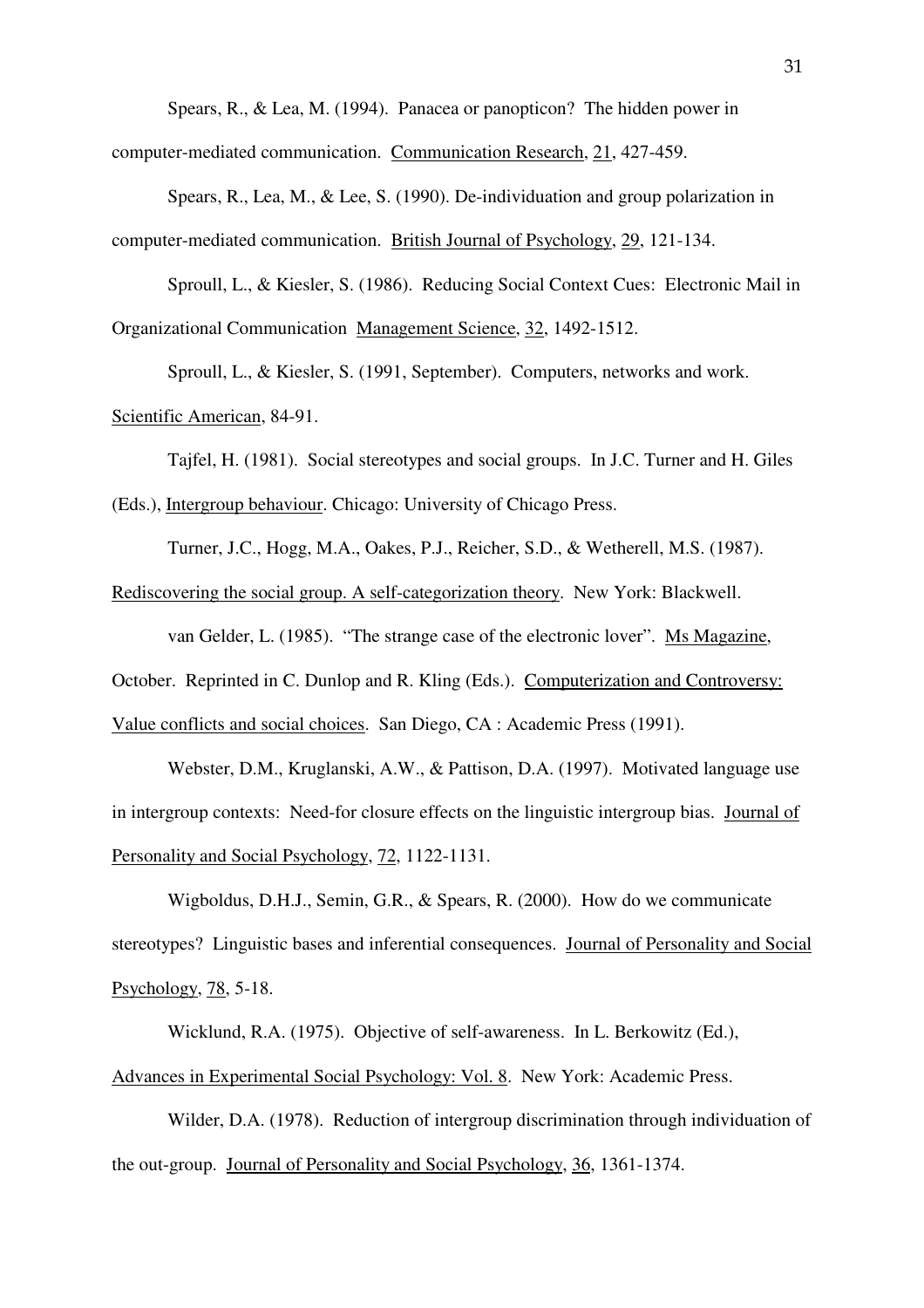Spears, R., & Lea, M. (1994). Panacea or panopticon? The hidden power in

computer-mediated communication. Communication Research, 21, 427-459.

 Spears, R., Lea, M., & Lee, S. (1990). De-individuation and group polarization in computer-mediated communication. British Journal of Psychology, 29, 121-134.

 Sproull, L., & Kiesler, S. (1986). Reducing Social Context Cues: Electronic Mail in Organizational Communication Management Science, 32, 1492-1512.

Sproull, L., & Kiesler, S. (1991, September). Computers, networks and work.

Scientific American, 84-91.

 Tajfel, H. (1981). Social stereotypes and social groups. In J.C. Turner and H. Giles (Eds.), Intergroup behaviour. Chicago: University of Chicago Press.

Turner, J.C., Hogg, M.A., Oakes, P.J., Reicher, S.D., & Wetherell, M.S. (1987).

Rediscovering the social group. A self-categorization theory. New York: Blackwell.

van Gelder, L. (1985). "The strange case of the electronic lover". Ms Magazine,

October. Reprinted in C. Dunlop and R. Kling (Eds.). Computerization and Controversy:

Value conflicts and social choices. San Diego, CA : Academic Press (1991).

Webster, D.M., Kruglanski, A.W., & Pattison, D.A. (1997). Motivated language use in intergroup contexts: Need-for closure effects on the linguistic intergroup bias. Journal of Personality and Social Psychology, 72, 1122-1131.

Wigboldus, D.H.J., Semin, G.R., & Spears, R. (2000). How do we communicate stereotypes? Linguistic bases and inferential consequences. Journal of Personality and Social Psychology, 78, 5-18.

Wicklund, R.A. (1975). Objective of self-awareness. In L. Berkowitz (Ed.),

Advances in Experimental Social Psychology: Vol. 8. New York: Academic Press.

 Wilder, D.A. (1978). Reduction of intergroup discrimination through individuation of the out-group. Journal of Personality and Social Psychology, 36, 1361-1374.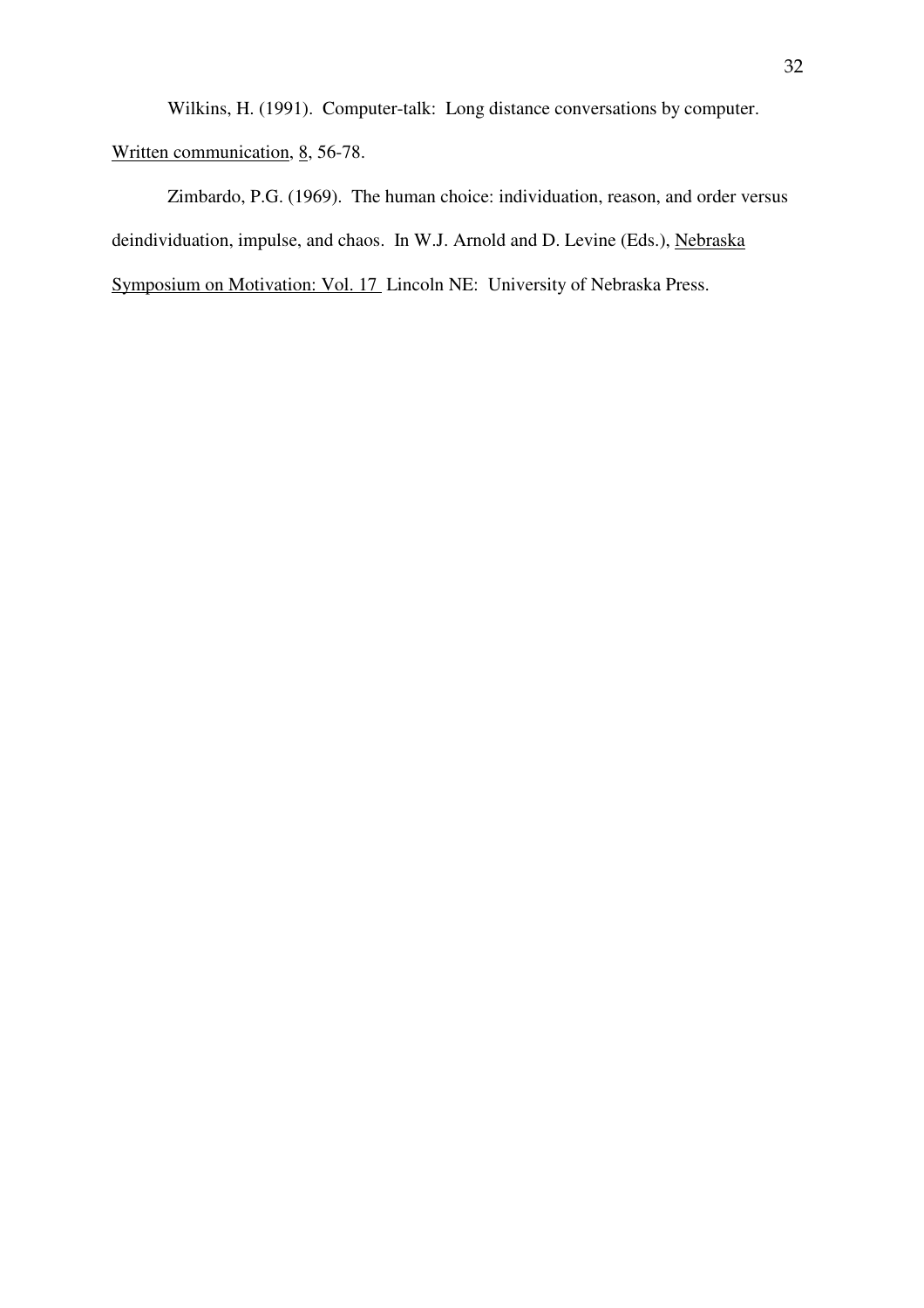Wilkins, H. (1991). Computer-talk: Long distance conversations by computer.

Written communication, 8, 56-78.

 Zimbardo, P.G. (1969). The human choice: individuation, reason, and order versus deindividuation, impulse, and chaos. In W.J. Arnold and D. Levine (Eds.), Nebraska Symposium on Motivation: Vol. 17 Lincoln NE: University of Nebraska Press.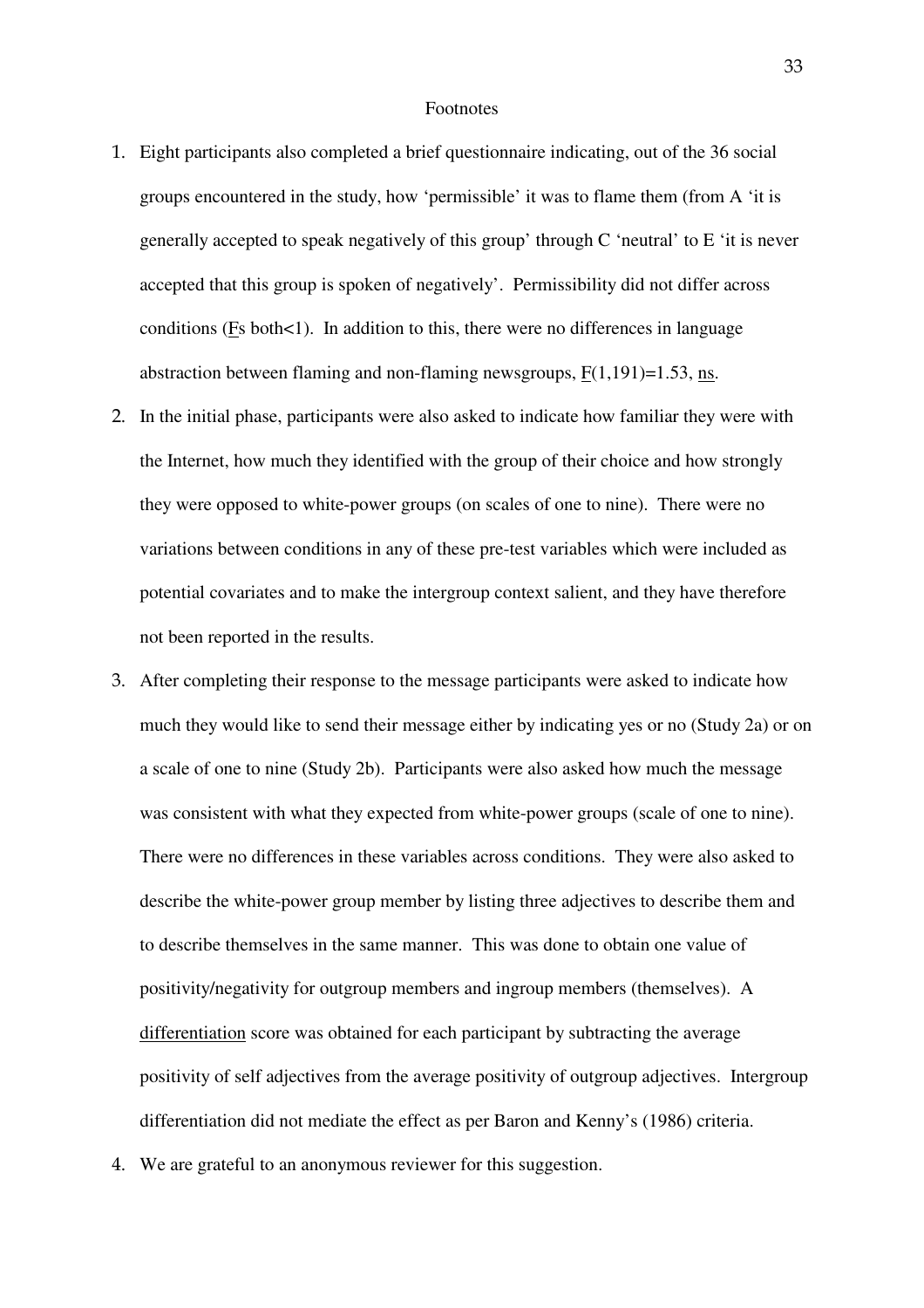#### Footnotes

- - Eight participants also completed a brief questionnaire indicating, out of the 36 social groups encountered in the study, how 'permissible' it was to flame them (from A 'it is generally accepted to speak negatively of this group' through C 'neutral' to E 'it is never accepted that this group is spoken of negatively'. Permissibility did not differ across conditions ( $Fs$  both $<1$ ). In addition to this, there were no differences in language abstraction between flaming and non-flaming newsgroups,  $F(1,191)=1.53$ , ns.
- In the initial phase, participants were also asked to indicate how familiar they were with the Internet, how much they identified with the group of their choice and how strongly they were opposed to white-power groups (on scales of one to nine). There were no variations between conditions in any of these pre-test variables which were included as potential covariates and to make the intergroup context salient, and they have therefore not been reported in the results.
- After completing their response to the message participants were asked to indicate how much they would like to send their message either by indicating yes or no (Study 2a) or on a scale of one to nine (Study 2b). Participants were also asked how much the message was consistent with what they expected from white-power groups (scale of one to nine). There were no differences in these variables across conditions. They were also asked to describe the white-power group member by listing three adjectives to describe them and to describe themselves in the same manner. This was done to obtain one value of positivity/negativity for outgroup members and ingroup members (themselves). A differentiation score was obtained for each participant by subtracting the average positivity of self adjectives from the average positivity of outgroup adjectives. Intergroup differentiation did not mediate the effect as per Baron and Kenny's (1986) criteria.
- We are grateful to an anonymous reviewer for this suggestion.